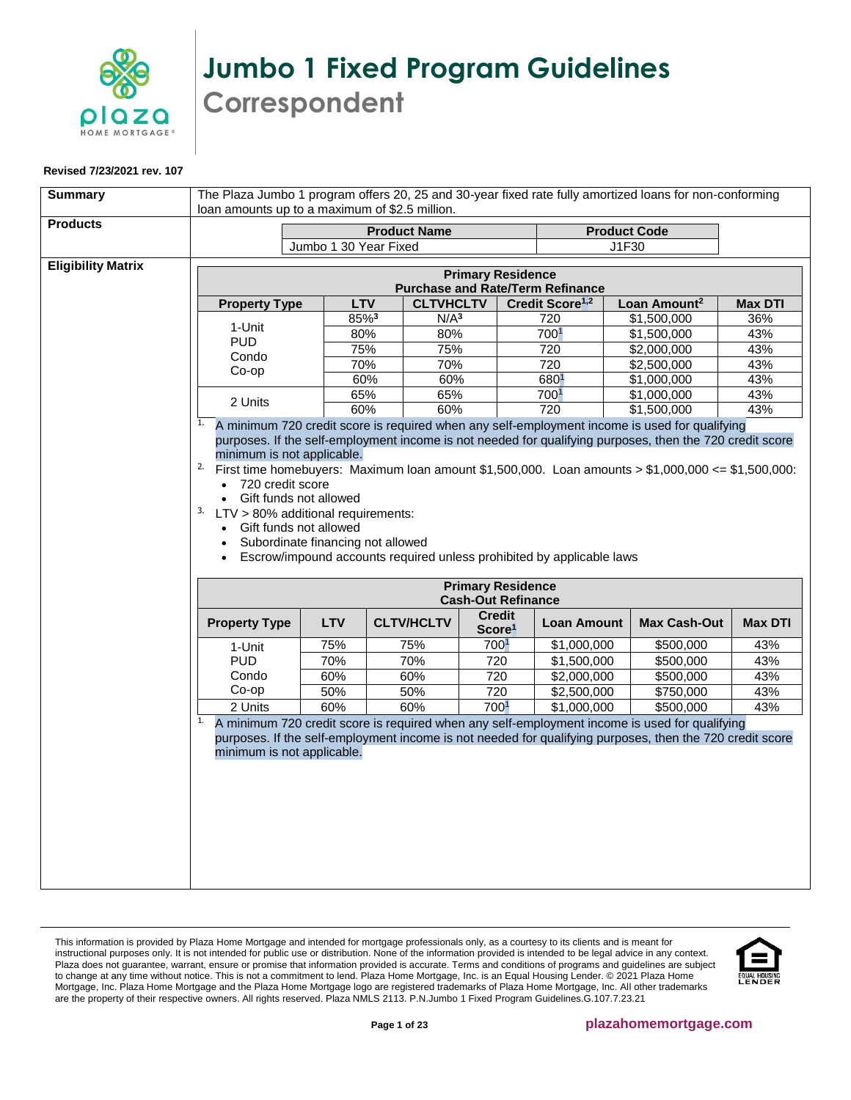

## **Jumbo 1 Fixed Program Guidelines Correspondent**

## **Revised 7/23/2021 rev. 107**

<span id="page-0-0"></span>

| <b>Summary</b>            | The Plaza Jumbo 1 program offers 20, 25 and 30-year fixed rate fully amortized loans for non-conforming<br>loan amounts up to a maximum of \$2.5 million.                                                                                                                                                                                                                                                                                                                                                 |                                                                     |                   |                                     |                                                       |  |                                                                                                                                                                                                           |                |
|---------------------------|-----------------------------------------------------------------------------------------------------------------------------------------------------------------------------------------------------------------------------------------------------------------------------------------------------------------------------------------------------------------------------------------------------------------------------------------------------------------------------------------------------------|---------------------------------------------------------------------|-------------------|-------------------------------------|-------------------------------------------------------|--|-----------------------------------------------------------------------------------------------------------------------------------------------------------------------------------------------------------|----------------|
| <b>Products</b>           |                                                                                                                                                                                                                                                                                                                                                                                                                                                                                                           | <b>Product Name</b>                                                 |                   |                                     | <b>Product Code</b>                                   |  |                                                                                                                                                                                                           |                |
|                           |                                                                                                                                                                                                                                                                                                                                                                                                                                                                                                           | Jumbo 1 30 Year Fixed                                               |                   |                                     | J1F30                                                 |  |                                                                                                                                                                                                           |                |
| <b>Eligibility Matrix</b> |                                                                                                                                                                                                                                                                                                                                                                                                                                                                                                           | <b>Primary Residence</b><br><b>Purchase and Rate/Term Refinance</b> |                   |                                     |                                                       |  |                                                                                                                                                                                                           |                |
|                           | <b>Property Type</b>                                                                                                                                                                                                                                                                                                                                                                                                                                                                                      | <b>LTV</b>                                                          | <b>CLTVHCLTV</b>  |                                     | Credit Score <sup>1,2</sup>                           |  | Loan Amount <sup>2</sup>                                                                                                                                                                                  | <b>Max DTI</b> |
|                           | 1-Unit                                                                                                                                                                                                                                                                                                                                                                                                                                                                                                    | 85%3                                                                | N/A <sup>3</sup>  |                                     | 720                                                   |  | \$1,500,000                                                                                                                                                                                               | 36%            |
|                           | <b>PUD</b>                                                                                                                                                                                                                                                                                                                                                                                                                                                                                                | 80%                                                                 | 80%               |                                     | 7001                                                  |  | \$1,500,000                                                                                                                                                                                               | 43%            |
|                           | Condo                                                                                                                                                                                                                                                                                                                                                                                                                                                                                                     | 75%                                                                 | 75%               |                                     | 720                                                   |  | \$2,000,000                                                                                                                                                                                               | 43%            |
|                           | Co-op                                                                                                                                                                                                                                                                                                                                                                                                                                                                                                     | 70%                                                                 | $\frac{1}{70\%}$  |                                     | 720                                                   |  | \$2,500,000                                                                                                                                                                                               | 43%            |
|                           |                                                                                                                                                                                                                                                                                                                                                                                                                                                                                                           | 60%                                                                 | 60%               |                                     | 6801                                                  |  | \$1,000,000                                                                                                                                                                                               | 43%            |
|                           | 2 Units                                                                                                                                                                                                                                                                                                                                                                                                                                                                                                   | 65%                                                                 | 65%               |                                     | 700 <sup>1</sup>                                      |  | \$1,000,000                                                                                                                                                                                               | 43%            |
|                           | 1.                                                                                                                                                                                                                                                                                                                                                                                                                                                                                                        | 60%                                                                 | 60%               |                                     | 720                                                   |  | \$1,500,000<br>A minimum 720 credit score is required when any self-employment income is used for qualifying                                                                                              | 43%            |
|                           | purposes. If the self-employment income is not needed for qualifying purposes, then the 720 credit score<br>minimum is not applicable.<br><sup>2.</sup> First time homebuyers: Maximum loan amount \$1,500,000. Loan amounts > \$1,000,000 <= \$1,500,000:<br>720 credit score<br>Gift funds not allowed<br>$\bullet$<br>3.<br>LTV > 80% additional requirements:<br>Gift funds not allowed<br>Subordinate financing not allowed<br>Escrow/impound accounts required unless prohibited by applicable laws |                                                                     |                   |                                     |                                                       |  |                                                                                                                                                                                                           |                |
|                           |                                                                                                                                                                                                                                                                                                                                                                                                                                                                                                           |                                                                     |                   |                                     | <b>Primary Residence</b><br><b>Cash-Out Refinance</b> |  |                                                                                                                                                                                                           |                |
|                           | <b>Property Type</b>                                                                                                                                                                                                                                                                                                                                                                                                                                                                                      | <b>LTV</b>                                                          | <b>CLTV/HCLTV</b> | <b>Credit</b><br>Score <sup>1</sup> | <b>Loan Amount</b>                                    |  | <b>Max Cash-Out</b>                                                                                                                                                                                       | <b>Max DTI</b> |
|                           | 1-Unit                                                                                                                                                                                                                                                                                                                                                                                                                                                                                                    | 75%                                                                 | 75%               | 7001                                | \$1,000,000                                           |  | \$500,000                                                                                                                                                                                                 | 43%            |
|                           | <b>PUD</b>                                                                                                                                                                                                                                                                                                                                                                                                                                                                                                | 70%                                                                 | 70%               | 720                                 | \$1,500,000                                           |  | \$500,000                                                                                                                                                                                                 | 43%            |
|                           | Condo                                                                                                                                                                                                                                                                                                                                                                                                                                                                                                     | 60%                                                                 | 60%               | 720                                 | \$2,000,000                                           |  | \$500,000                                                                                                                                                                                                 | 43%            |
|                           | Co-op                                                                                                                                                                                                                                                                                                                                                                                                                                                                                                     | 50%                                                                 | 50%               | 720                                 | \$2,500,000                                           |  | \$750,000                                                                                                                                                                                                 | 43%            |
|                           | 2 Units                                                                                                                                                                                                                                                                                                                                                                                                                                                                                                   | 60%                                                                 | 60%               | 7001                                | \$1,000,000                                           |  | \$500,000                                                                                                                                                                                                 | 43%            |
|                           | 1.<br>minimum is not applicable.                                                                                                                                                                                                                                                                                                                                                                                                                                                                          |                                                                     |                   |                                     |                                                       |  | A minimum 720 credit score is required when any self-employment income is used for qualifying<br>purposes. If the self-employment income is not needed for qualifying purposes, then the 720 credit score |                |

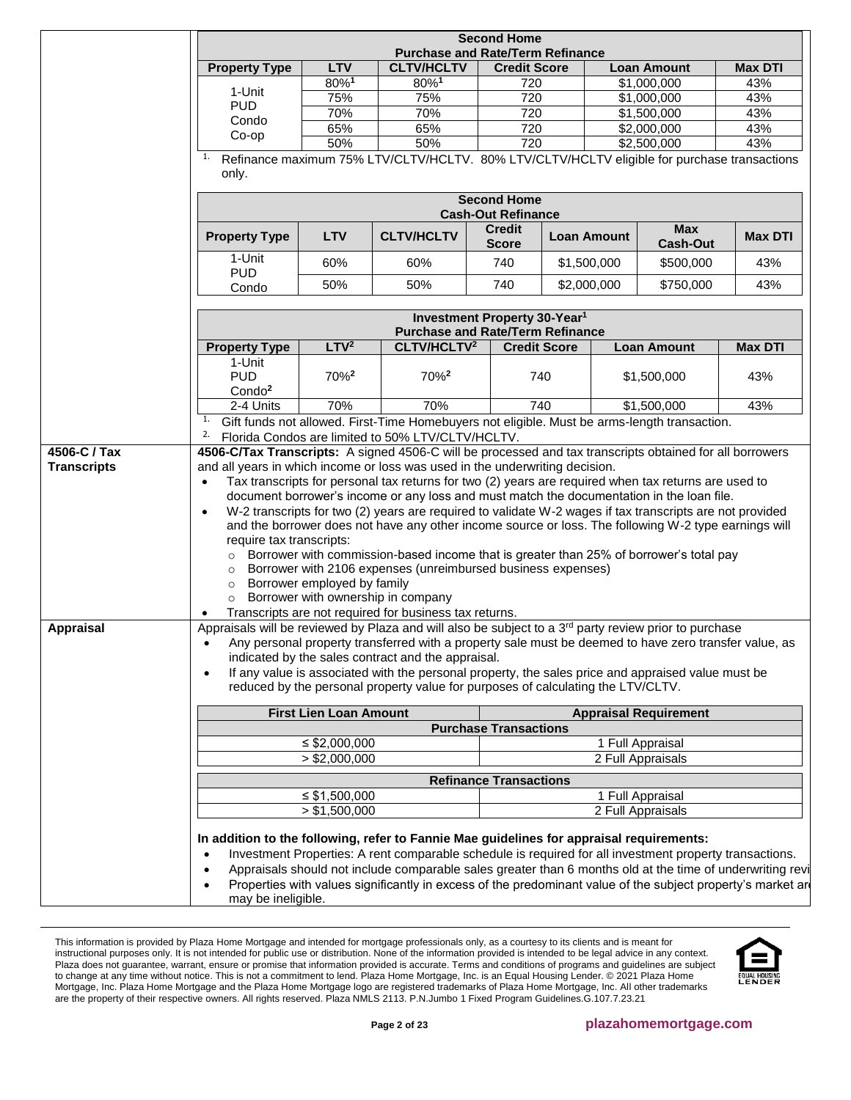<span id="page-1-0"></span>

|                                        |                                                                                                                                                                     | <b>Second Home</b><br><b>Purchase and Rate/Term Refinance</b>                               |                                                                                                                                                                                                                                                                                                                                                                                                                                                                                                                                                                                                                                                                                 |                                                 |                    |                                                                                                             |                               |                |
|----------------------------------------|---------------------------------------------------------------------------------------------------------------------------------------------------------------------|---------------------------------------------------------------------------------------------|---------------------------------------------------------------------------------------------------------------------------------------------------------------------------------------------------------------------------------------------------------------------------------------------------------------------------------------------------------------------------------------------------------------------------------------------------------------------------------------------------------------------------------------------------------------------------------------------------------------------------------------------------------------------------------|-------------------------------------------------|--------------------|-------------------------------------------------------------------------------------------------------------|-------------------------------|----------------|
|                                        | <b>Property Type</b>                                                                                                                                                | <b>LTV</b>                                                                                  | <b>CLTV/HCLTV</b>                                                                                                                                                                                                                                                                                                                                                                                                                                                                                                                                                                                                                                                               | <b>Credit Score</b>                             |                    |                                                                                                             | <b>Loan Amount</b>            | <b>Max DTI</b> |
|                                        |                                                                                                                                                                     | 80%1                                                                                        | 80%1                                                                                                                                                                                                                                                                                                                                                                                                                                                                                                                                                                                                                                                                            | 720                                             |                    |                                                                                                             | \$1,000,000                   | 43%            |
|                                        | 1-Unit                                                                                                                                                              | 75%                                                                                         | 75%                                                                                                                                                                                                                                                                                                                                                                                                                                                                                                                                                                                                                                                                             | 720                                             |                    |                                                                                                             | \$1,000,000                   | 43%            |
|                                        | <b>PUD</b>                                                                                                                                                          | 70%                                                                                         | 70%                                                                                                                                                                                                                                                                                                                                                                                                                                                                                                                                                                                                                                                                             | 720                                             |                    |                                                                                                             | \$1,500,000                   | 43%            |
|                                        | Condo<br>Co-op                                                                                                                                                      | 65%                                                                                         | 65%                                                                                                                                                                                                                                                                                                                                                                                                                                                                                                                                                                                                                                                                             | 720                                             |                    | \$2,000,000<br>\$2,500,000                                                                                  |                               | 43%            |
|                                        |                                                                                                                                                                     | 50%                                                                                         | 50%                                                                                                                                                                                                                                                                                                                                                                                                                                                                                                                                                                                                                                                                             | 720                                             |                    |                                                                                                             |                               | 43%            |
|                                        | only.                                                                                                                                                               | Refinance maximum 75% LTV/CLTV/HCLTV. 80% LTV/CLTV/HCLTV eligible for purchase transactions |                                                                                                                                                                                                                                                                                                                                                                                                                                                                                                                                                                                                                                                                                 |                                                 |                    |                                                                                                             |                               |                |
|                                        |                                                                                                                                                                     |                                                                                             |                                                                                                                                                                                                                                                                                                                                                                                                                                                                                                                                                                                                                                                                                 | <b>Second Home</b><br><b>Cash-Out Refinance</b> |                    |                                                                                                             |                               |                |
|                                        | <b>Property Type</b>                                                                                                                                                | <b>LTV</b>                                                                                  | <b>CLTV/HCLTV</b>                                                                                                                                                                                                                                                                                                                                                                                                                                                                                                                                                                                                                                                               | <b>Credit</b><br><b>Score</b>                   | <b>Loan Amount</b> |                                                                                                             | <b>Max</b><br><b>Cash-Out</b> | <b>Max DTI</b> |
|                                        | 1-Unit                                                                                                                                                              | 60%                                                                                         | 60%                                                                                                                                                                                                                                                                                                                                                                                                                                                                                                                                                                                                                                                                             | 740                                             | \$1,500,000        |                                                                                                             | \$500,000                     | 43%            |
|                                        | <b>PUD</b>                                                                                                                                                          |                                                                                             |                                                                                                                                                                                                                                                                                                                                                                                                                                                                                                                                                                                                                                                                                 |                                                 |                    |                                                                                                             |                               |                |
|                                        | Condo                                                                                                                                                               | 50%                                                                                         | 50%                                                                                                                                                                                                                                                                                                                                                                                                                                                                                                                                                                                                                                                                             | 740                                             | \$2,000,000        |                                                                                                             | \$750,000                     | 43%            |
|                                        |                                                                                                                                                                     |                                                                                             | <b>Purchase and Rate/Term Refinance</b>                                                                                                                                                                                                                                                                                                                                                                                                                                                                                                                                                                                                                                         | Investment Property 30-Year <sup>1</sup>        |                    |                                                                                                             |                               |                |
|                                        | <b>Property Type</b>                                                                                                                                                | LTV <sup>2</sup>                                                                            | CLTV/HCLTV <sup>2</sup>                                                                                                                                                                                                                                                                                                                                                                                                                                                                                                                                                                                                                                                         | <b>Credit Score</b>                             |                    |                                                                                                             | <b>Loan Amount</b>            | <b>Max DTI</b> |
|                                        | 1-Unit                                                                                                                                                              |                                                                                             |                                                                                                                                                                                                                                                                                                                                                                                                                                                                                                                                                                                                                                                                                 |                                                 |                    |                                                                                                             |                               |                |
|                                        | <b>PUD</b><br>Condo <sup>2</sup>                                                                                                                                    | 70% <sup>2</sup>                                                                            | 70% <sup>2</sup>                                                                                                                                                                                                                                                                                                                                                                                                                                                                                                                                                                                                                                                                |                                                 | 740                |                                                                                                             | \$1,500,000                   | 43%            |
|                                        | 2-4 Units                                                                                                                                                           | 70%                                                                                         | 70%                                                                                                                                                                                                                                                                                                                                                                                                                                                                                                                                                                                                                                                                             |                                                 | 740                | \$1,500,000<br>Gift funds not allowed. First-Time Homebuyers not eligible. Must be arms-length transaction. |                               | 43%            |
| 4506-C / Tax                           |                                                                                                                                                                     |                                                                                             | Florida Condos are limited to 50% LTV/CLTV/HCLTV.<br>4506-C/Tax Transcripts: A signed 4506-C will be processed and tax transcripts obtained for all borrowers                                                                                                                                                                                                                                                                                                                                                                                                                                                                                                                   |                                                 |                    |                                                                                                             |                               |                |
|                                        | and all years in which income or loss was used in the underwriting decision.<br>$\bullet$<br>$\bullet$<br>require tax transcripts:<br>$\circ$<br>$\circ$<br>$\circ$ | Borrower employed by family                                                                 | Tax transcripts for personal tax returns for two (2) years are required when tax returns are used to<br>document borrower's income or any loss and must match the documentation in the loan file.<br>W-2 transcripts for two (2) years are required to validate W-2 wages if tax transcripts are not provided<br>and the borrower does not have any other income source or loss. The following W-2 type earnings will<br>Borrower with commission-based income that is greater than 25% of borrower's total pay<br>Borrower with 2106 expenses (unreimbursed business expenses)<br>Borrower with ownership in company<br>Transcripts are not required for business tax returns. |                                                 |                    |                                                                                                             |                               |                |
|                                        | Appraisals will be reviewed by Plaza and will also be subject to a 3 <sup>rd</sup> party review prior to purchase<br>$\bullet$                                      |                                                                                             | Any personal property transferred with a property sale must be deemed to have zero transfer value, as<br>indicated by the sales contract and the appraisal.<br>If any value is associated with the personal property, the sales price and appraised value must be<br>reduced by the personal property value for purposes of calculating the LTV/CLTV.                                                                                                                                                                                                                                                                                                                           |                                                 |                    |                                                                                                             |                               |                |
|                                        |                                                                                                                                                                     | <b>First Lien Loan Amount</b>                                                               |                                                                                                                                                                                                                                                                                                                                                                                                                                                                                                                                                                                                                                                                                 |                                                 |                    |                                                                                                             | <b>Appraisal Requirement</b>  |                |
|                                        |                                                                                                                                                                     |                                                                                             |                                                                                                                                                                                                                                                                                                                                                                                                                                                                                                                                                                                                                                                                                 | <b>Purchase Transactions</b>                    |                    |                                                                                                             |                               |                |
|                                        |                                                                                                                                                                     | $\leq$ \$2,000,000                                                                          |                                                                                                                                                                                                                                                                                                                                                                                                                                                                                                                                                                                                                                                                                 |                                                 |                    |                                                                                                             | 1 Full Appraisal              |                |
|                                        |                                                                                                                                                                     | > \$2,000,000                                                                               |                                                                                                                                                                                                                                                                                                                                                                                                                                                                                                                                                                                                                                                                                 |                                                 |                    |                                                                                                             | 2 Full Appraisals             |                |
|                                        |                                                                                                                                                                     |                                                                                             |                                                                                                                                                                                                                                                                                                                                                                                                                                                                                                                                                                                                                                                                                 | <b>Refinance Transactions</b>                   |                    |                                                                                                             |                               |                |
| <b>Transcripts</b><br><b>Appraisal</b> |                                                                                                                                                                     | $\leq$ \$1,500,000                                                                          |                                                                                                                                                                                                                                                                                                                                                                                                                                                                                                                                                                                                                                                                                 |                                                 |                    |                                                                                                             | 1 Full Appraisal              |                |

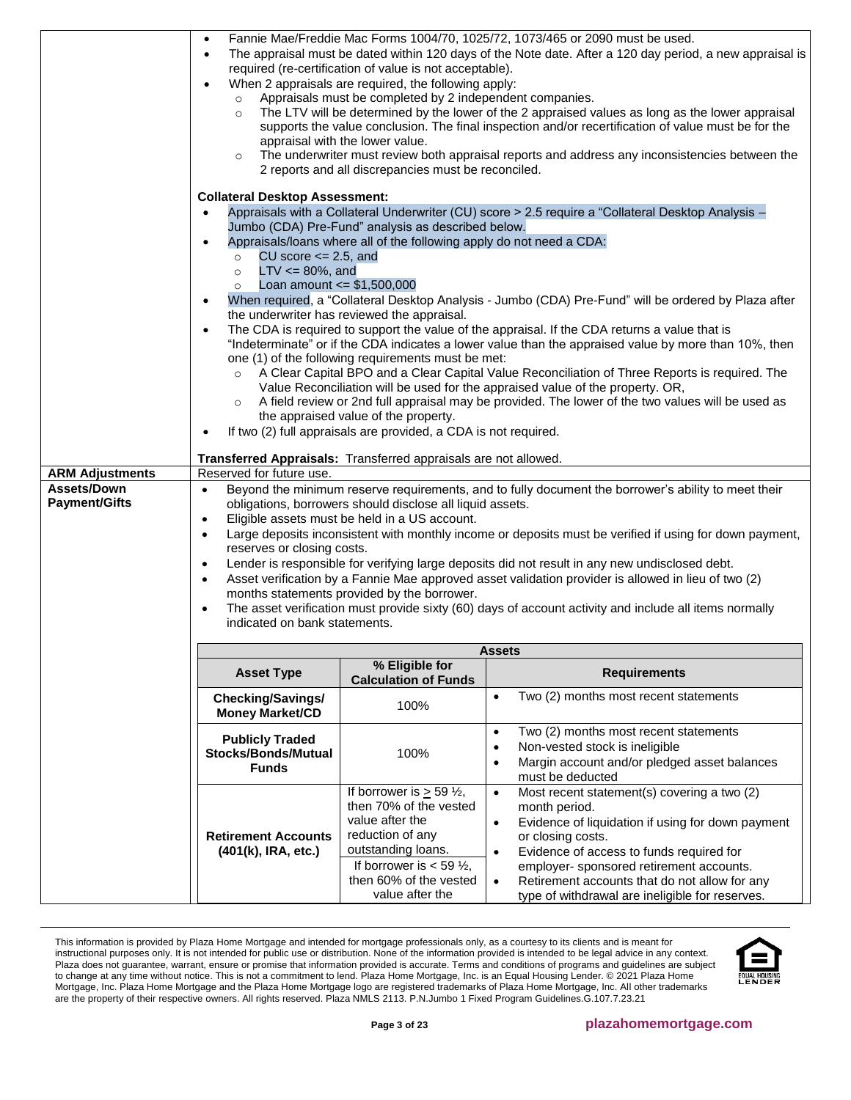<span id="page-2-0"></span>

|                                     | $\bullet$<br>$\bullet$                                                                                                                                                                                                                                                                                                                                                                                                                                                                                                                                                                                                                                                                                                                                                                                                         |                                                                                                                                                                                                                                                                       | Fannie Mae/Freddie Mac Forms 1004/70, 1025/72, 1073/465 or 2090 must be used.<br>The appraisal must be dated within 120 days of the Note date. After a 120 day period, a new appraisal is                                                                                                                                                                                              |  |
|-------------------------------------|--------------------------------------------------------------------------------------------------------------------------------------------------------------------------------------------------------------------------------------------------------------------------------------------------------------------------------------------------------------------------------------------------------------------------------------------------------------------------------------------------------------------------------------------------------------------------------------------------------------------------------------------------------------------------------------------------------------------------------------------------------------------------------------------------------------------------------|-----------------------------------------------------------------------------------------------------------------------------------------------------------------------------------------------------------------------------------------------------------------------|----------------------------------------------------------------------------------------------------------------------------------------------------------------------------------------------------------------------------------------------------------------------------------------------------------------------------------------------------------------------------------------|--|
|                                     | $\circ$<br>$\circ$<br>$\circ$                                                                                                                                                                                                                                                                                                                                                                                                                                                                                                                                                                                                                                                                                                                                                                                                  | required (re-certification of value is not acceptable).<br>When 2 appraisals are required, the following apply:<br>Appraisals must be completed by 2 independent companies.<br>appraisal with the lower value.<br>2 reports and all discrepancies must be reconciled. | The LTV will be determined by the lower of the 2 appraised values as long as the lower appraisal<br>supports the value conclusion. The final inspection and/or recertification of value must be for the<br>The underwriter must review both appraisal reports and address any inconsistencies between the                                                                              |  |
|                                     | <b>Collateral Desktop Assessment:</b><br>Appraisals with a Collateral Underwriter (CU) score > 2.5 require a "Collateral Desktop Analysis -<br>$\bullet$<br>Jumbo (CDA) Pre-Fund" analysis as described below.<br>Appraisals/loans where all of the following apply do not need a CDA:<br>$\bullet$<br>CU score $\leq$ 2.5, and<br>$\circ$<br>$LTV \le 80\%$ , and<br>$\circ$<br>$\circ$ Loan amount $\le$ \$1,500,000<br>When required, a "Collateral Desktop Analysis - Jumbo (CDA) Pre-Fund" will be ordered by Plaza after<br>the underwriter has reviewed the appraisal.<br>The CDA is required to support the value of the appraisal. If the CDA returns a value that is<br>$\bullet$                                                                                                                                    |                                                                                                                                                                                                                                                                       |                                                                                                                                                                                                                                                                                                                                                                                        |  |
|                                     |                                                                                                                                                                                                                                                                                                                                                                                                                                                                                                                                                                                                                                                                                                                                                                                                                                |                                                                                                                                                                                                                                                                       |                                                                                                                                                                                                                                                                                                                                                                                        |  |
|                                     | "Indeterminate" or if the CDA indicates a lower value than the appraised value by more than 10%, then<br>one (1) of the following requirements must be met:<br>A Clear Capital BPO and a Clear Capital Value Reconciliation of Three Reports is required. The<br>Value Reconciliation will be used for the appraised value of the property. OR,<br>A field review or 2nd full appraisal may be provided. The lower of the two values will be used as<br>the appraised value of the property.                                                                                                                                                                                                                                                                                                                                   |                                                                                                                                                                                                                                                                       |                                                                                                                                                                                                                                                                                                                                                                                        |  |
|                                     | If two (2) full appraisals are provided, a CDA is not required.<br>٠<br>Transferred Appraisals: Transferred appraisals are not allowed.                                                                                                                                                                                                                                                                                                                                                                                                                                                                                                                                                                                                                                                                                        |                                                                                                                                                                                                                                                                       |                                                                                                                                                                                                                                                                                                                                                                                        |  |
| <b>ARM Adjustments</b>              | Reserved for future use.                                                                                                                                                                                                                                                                                                                                                                                                                                                                                                                                                                                                                                                                                                                                                                                                       |                                                                                                                                                                                                                                                                       |                                                                                                                                                                                                                                                                                                                                                                                        |  |
| Assets/Down<br><b>Payment/Gifts</b> | Beyond the minimum reserve requirements, and to fully document the borrower's ability to meet their<br>$\bullet$<br>obligations, borrowers should disclose all liquid assets.<br>Eligible assets must be held in a US account.<br>$\bullet$<br>Large deposits inconsistent with monthly income or deposits must be verified if using for down payment,<br>$\bullet$<br>reserves or closing costs.<br>Lender is responsible for verifying large deposits did not result in any new undisclosed debt.<br>$\bullet$<br>Asset verification by a Fannie Mae approved asset validation provider is allowed in lieu of two (2)<br>$\bullet$<br>months statements provided by the borrower.<br>The asset verification must provide sixty (60) days of account activity and include all items normally<br>indicated on bank statements. |                                                                                                                                                                                                                                                                       |                                                                                                                                                                                                                                                                                                                                                                                        |  |
|                                     |                                                                                                                                                                                                                                                                                                                                                                                                                                                                                                                                                                                                                                                                                                                                                                                                                                |                                                                                                                                                                                                                                                                       | <b>Assets</b>                                                                                                                                                                                                                                                                                                                                                                          |  |
|                                     | <b>Asset Type</b>                                                                                                                                                                                                                                                                                                                                                                                                                                                                                                                                                                                                                                                                                                                                                                                                              | % Eligible for<br><b>Calculation of Funds</b>                                                                                                                                                                                                                         | <b>Requirements</b>                                                                                                                                                                                                                                                                                                                                                                    |  |
|                                     | Checking/Savings/<br><b>Money Market/CD</b>                                                                                                                                                                                                                                                                                                                                                                                                                                                                                                                                                                                                                                                                                                                                                                                    | 100%                                                                                                                                                                                                                                                                  | Two (2) months most recent statements<br>$\bullet$                                                                                                                                                                                                                                                                                                                                     |  |
|                                     | <b>Publicly Traded</b><br><b>Stocks/Bonds/Mutual</b><br><b>Funds</b>                                                                                                                                                                                                                                                                                                                                                                                                                                                                                                                                                                                                                                                                                                                                                           | 100%                                                                                                                                                                                                                                                                  | Two (2) months most recent statements<br>$\bullet$<br>Non-vested stock is ineligible<br>$\bullet$<br>Margin account and/or pledged asset balances<br>$\bullet$<br>must be deducted                                                                                                                                                                                                     |  |
|                                     | <b>Retirement Accounts</b><br>(401(k), IRA, etc.)                                                                                                                                                                                                                                                                                                                                                                                                                                                                                                                                                                                                                                                                                                                                                                              | If borrower is $\geq$ 59 $\frac{1}{2}$ ,<br>then 70% of the vested<br>value after the<br>reduction of any<br>outstanding loans.<br>If borrower is $<$ 59 $\frac{1}{2}$ ,<br>then 60% of the vested<br>value after the                                                 | Most recent statement(s) covering a two (2)<br>$\bullet$<br>month period.<br>Evidence of liquidation if using for down payment<br>$\bullet$<br>or closing costs.<br>Evidence of access to funds required for<br>$\bullet$<br>employer- sponsored retirement accounts.<br>Retirement accounts that do not allow for any<br>$\bullet$<br>type of withdrawal are ineligible for reserves. |  |

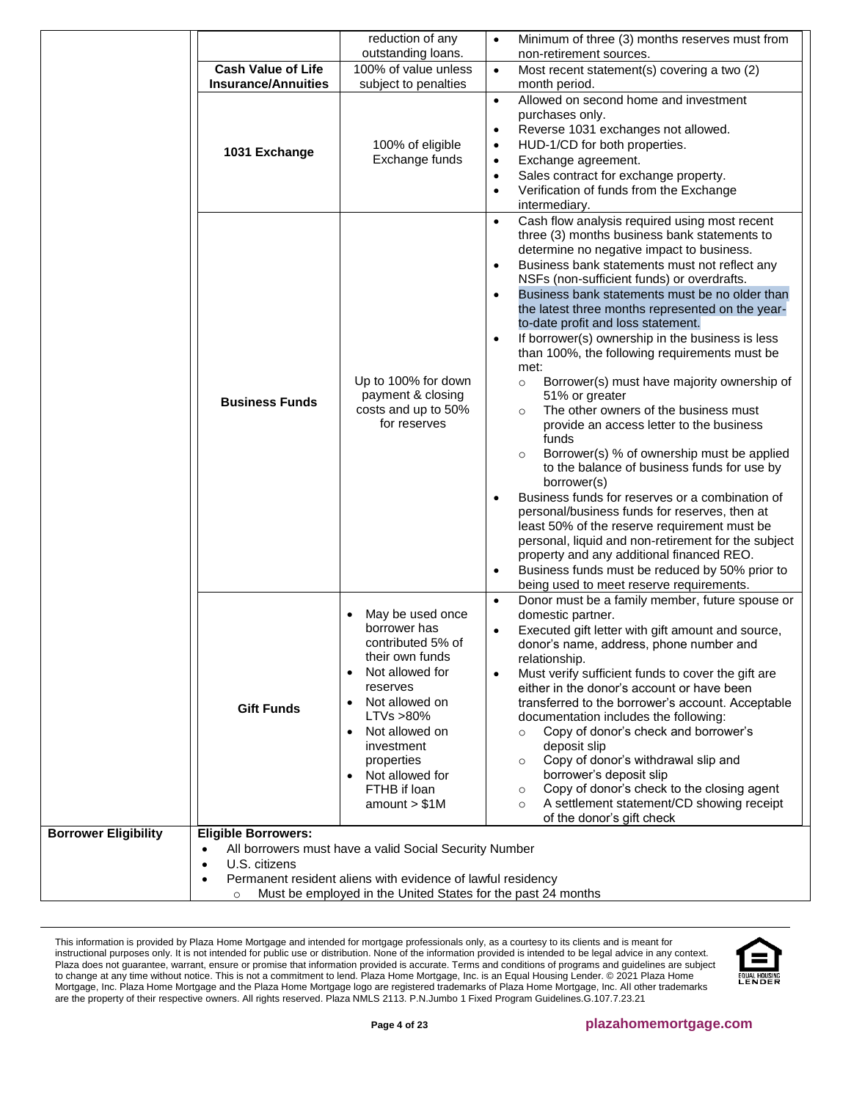|                             |                                                                                               | reduction of any<br>outstanding loans.                                                                                                                                                                                                    | Minimum of three (3) months reserves must from<br>$\bullet$<br>non-retirement sources.                                                                                                                                                                                                                                                                                                                                                                                                                                                                                                                                                                                                                                                                                                                                                                                                                                                                                                                                                                                                                                                                                                                                                             |
|-----------------------------|-----------------------------------------------------------------------------------------------|-------------------------------------------------------------------------------------------------------------------------------------------------------------------------------------------------------------------------------------------|----------------------------------------------------------------------------------------------------------------------------------------------------------------------------------------------------------------------------------------------------------------------------------------------------------------------------------------------------------------------------------------------------------------------------------------------------------------------------------------------------------------------------------------------------------------------------------------------------------------------------------------------------------------------------------------------------------------------------------------------------------------------------------------------------------------------------------------------------------------------------------------------------------------------------------------------------------------------------------------------------------------------------------------------------------------------------------------------------------------------------------------------------------------------------------------------------------------------------------------------------|
|                             | <b>Cash Value of Life</b>                                                                     | 100% of value unless                                                                                                                                                                                                                      | Most recent statement(s) covering a two (2)<br>$\bullet$                                                                                                                                                                                                                                                                                                                                                                                                                                                                                                                                                                                                                                                                                                                                                                                                                                                                                                                                                                                                                                                                                                                                                                                           |
|                             | <b>Insurance/Annuities</b>                                                                    | subject to penalties                                                                                                                                                                                                                      | month period.                                                                                                                                                                                                                                                                                                                                                                                                                                                                                                                                                                                                                                                                                                                                                                                                                                                                                                                                                                                                                                                                                                                                                                                                                                      |
|                             | 1031 Exchange                                                                                 | 100% of eligible<br>Exchange funds                                                                                                                                                                                                        | Allowed on second home and investment<br>$\bullet$<br>purchases only.<br>Reverse 1031 exchanges not allowed.<br>$\bullet$<br>HUD-1/CD for both properties.<br>$\bullet$<br>Exchange agreement.<br>$\bullet$<br>Sales contract for exchange property.<br>$\bullet$<br>Verification of funds from the Exchange<br>$\bullet$<br>intermediary.                                                                                                                                                                                                                                                                                                                                                                                                                                                                                                                                                                                                                                                                                                                                                                                                                                                                                                         |
|                             | <b>Business Funds</b>                                                                         | Up to 100% for down<br>payment & closing<br>costs and up to 50%<br>for reserves                                                                                                                                                           | Cash flow analysis required using most recent<br>$\bullet$<br>three (3) months business bank statements to<br>determine no negative impact to business.<br>Business bank statements must not reflect any<br>$\bullet$<br>NSFs (non-sufficient funds) or overdrafts.<br>Business bank statements must be no older than<br>$\bullet$<br>the latest three months represented on the year-<br>to-date profit and loss statement.<br>If borrower(s) ownership in the business is less<br>$\bullet$<br>than 100%, the following requirements must be<br>met:<br>Borrower(s) must have majority ownership of<br>$\circ$<br>51% or greater<br>The other owners of the business must<br>$\circ$<br>provide an access letter to the business<br>funds<br>Borrower(s) % of ownership must be applied<br>$\circ$<br>to the balance of business funds for use by<br>borrower(s)<br>Business funds for reserves or a combination of<br>$\bullet$<br>personal/business funds for reserves, then at<br>least 50% of the reserve requirement must be<br>personal, liquid and non-retirement for the subject<br>property and any additional financed REO.<br>Business funds must be reduced by 50% prior to<br>$\bullet$<br>being used to meet reserve requirements. |
|                             | <b>Gift Funds</b>                                                                             | May be used once<br>borrower has<br>contributed 5% of<br>their own funds<br>Not allowed for<br>reserves<br>Not allowed on<br>LTVs > 80%<br>Not allowed on<br>investment<br>properties<br>Not allowed for<br>FTHB if loan<br>amount > \$1M | Donor must be a family member, future spouse or<br>$\bullet$<br>domestic partner.<br>Executed gift letter with gift amount and source,<br>$\bullet$<br>donor's name, address, phone number and<br>relationship.<br>Must verify sufficient funds to cover the gift are<br>$\bullet$<br>either in the donor's account or have been<br>transferred to the borrower's account. Acceptable<br>documentation includes the following:<br>Copy of donor's check and borrower's<br>$\circ$<br>deposit slip<br>Copy of donor's withdrawal slip and<br>$\circ$<br>borrower's deposit slip<br>Copy of donor's check to the closing agent<br>$\circ$<br>A settlement statement/CD showing receipt<br>$\circ$<br>of the donor's gift check                                                                                                                                                                                                                                                                                                                                                                                                                                                                                                                       |
| <b>Borrower Eligibility</b> | <b>Eligible Borrowers:</b><br>$\bullet$<br>U.S. citizens<br>$\bullet$<br>$\bullet$<br>$\circ$ | All borrowers must have a valid Social Security Number<br>Permanent resident aliens with evidence of lawful residency<br>Must be employed in the United States for the past 24 months                                                     |                                                                                                                                                                                                                                                                                                                                                                                                                                                                                                                                                                                                                                                                                                                                                                                                                                                                                                                                                                                                                                                                                                                                                                                                                                                    |

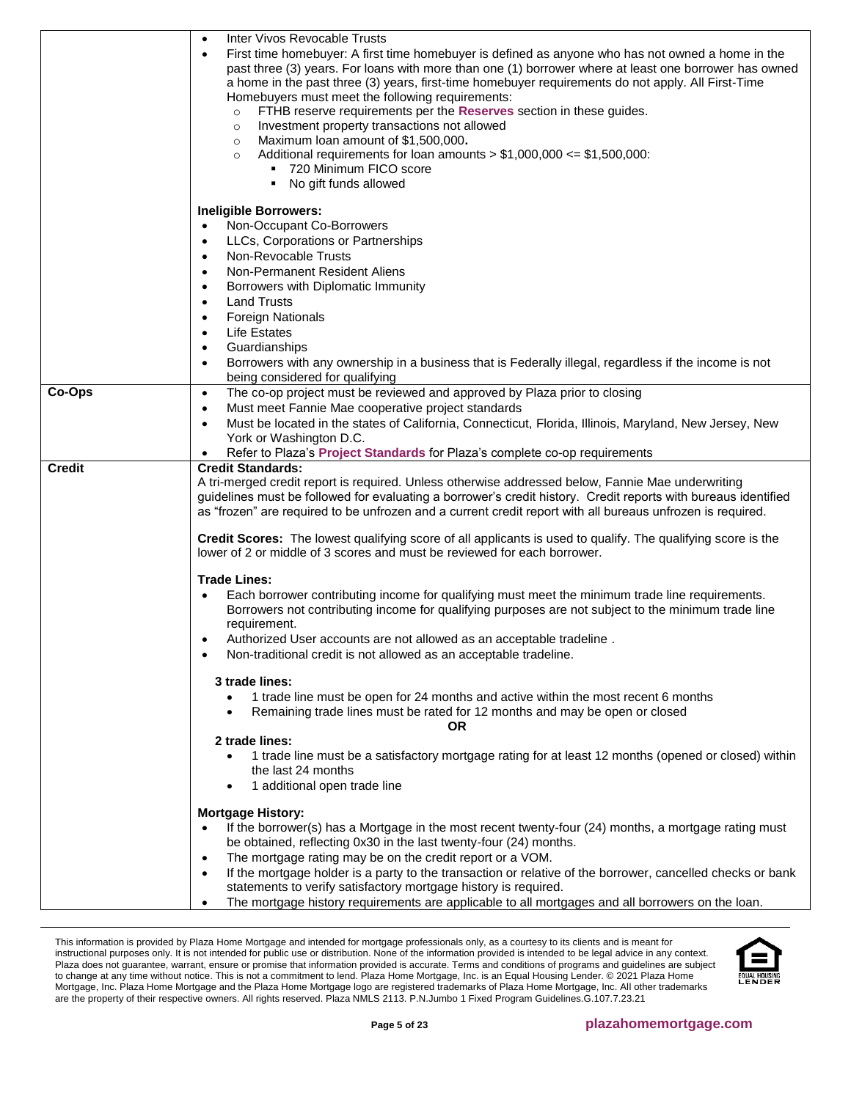|               | Inter Vivos Revocable Trusts<br>$\bullet$<br>First time homebuyer: A first time homebuyer is defined as anyone who has not owned a home in the<br>$\bullet$<br>past three (3) years. For loans with more than one (1) borrower where at least one borrower has owned<br>a home in the past three (3) years, first-time homebuyer requirements do not apply. All First-Time<br>Homebuyers must meet the following requirements:<br>FTHB reserve requirements per the Reserves section in these guides.<br>$\circ$<br>Investment property transactions not allowed<br>$\circ$<br>Maximum loan amount of \$1,500,000.<br>$\circ$<br>Additional requirements for loan amounts $> $1,000,000 <= $1,500,000$ :<br>$\circ$<br>720 Minimum FICO score<br>No gift funds allowed |
|---------------|------------------------------------------------------------------------------------------------------------------------------------------------------------------------------------------------------------------------------------------------------------------------------------------------------------------------------------------------------------------------------------------------------------------------------------------------------------------------------------------------------------------------------------------------------------------------------------------------------------------------------------------------------------------------------------------------------------------------------------------------------------------------|
|               | <b>Ineligible Borrowers:</b>                                                                                                                                                                                                                                                                                                                                                                                                                                                                                                                                                                                                                                                                                                                                           |
|               | Non-Occupant Co-Borrowers<br>$\bullet$                                                                                                                                                                                                                                                                                                                                                                                                                                                                                                                                                                                                                                                                                                                                 |
|               | LLCs, Corporations or Partnerships<br>$\bullet$                                                                                                                                                                                                                                                                                                                                                                                                                                                                                                                                                                                                                                                                                                                        |
|               | Non-Revocable Trusts                                                                                                                                                                                                                                                                                                                                                                                                                                                                                                                                                                                                                                                                                                                                                   |
|               | $\bullet$                                                                                                                                                                                                                                                                                                                                                                                                                                                                                                                                                                                                                                                                                                                                                              |
|               | Non-Permanent Resident Aliens<br>$\bullet$                                                                                                                                                                                                                                                                                                                                                                                                                                                                                                                                                                                                                                                                                                                             |
|               | Borrowers with Diplomatic Immunity<br>$\bullet$                                                                                                                                                                                                                                                                                                                                                                                                                                                                                                                                                                                                                                                                                                                        |
|               | <b>Land Trusts</b><br>$\bullet$                                                                                                                                                                                                                                                                                                                                                                                                                                                                                                                                                                                                                                                                                                                                        |
|               | <b>Foreign Nationals</b><br>$\bullet$                                                                                                                                                                                                                                                                                                                                                                                                                                                                                                                                                                                                                                                                                                                                  |
|               | <b>Life Estates</b><br>$\bullet$                                                                                                                                                                                                                                                                                                                                                                                                                                                                                                                                                                                                                                                                                                                                       |
|               | Guardianships<br>$\bullet$                                                                                                                                                                                                                                                                                                                                                                                                                                                                                                                                                                                                                                                                                                                                             |
|               | Borrowers with any ownership in a business that is Federally illegal, regardless if the income is not<br>$\bullet$                                                                                                                                                                                                                                                                                                                                                                                                                                                                                                                                                                                                                                                     |
|               | being considered for qualifying                                                                                                                                                                                                                                                                                                                                                                                                                                                                                                                                                                                                                                                                                                                                        |
| Co-Ops        | The co-op project must be reviewed and approved by Plaza prior to closing<br>$\bullet$                                                                                                                                                                                                                                                                                                                                                                                                                                                                                                                                                                                                                                                                                 |
|               | Must meet Fannie Mae cooperative project standards<br>$\bullet$                                                                                                                                                                                                                                                                                                                                                                                                                                                                                                                                                                                                                                                                                                        |
|               | Must be located in the states of California, Connecticut, Florida, Illinois, Maryland, New Jersey, New<br>$\bullet$                                                                                                                                                                                                                                                                                                                                                                                                                                                                                                                                                                                                                                                    |
|               | York or Washington D.C.                                                                                                                                                                                                                                                                                                                                                                                                                                                                                                                                                                                                                                                                                                                                                |
|               | Refer to Plaza's Project Standards for Plaza's complete co-op requirements<br>$\bullet$                                                                                                                                                                                                                                                                                                                                                                                                                                                                                                                                                                                                                                                                                |
| <b>Credit</b> | <b>Credit Standards:</b><br>A tri-merged credit report is required. Unless otherwise addressed below, Fannie Mae underwriting<br>guidelines must be followed for evaluating a borrower's credit history. Credit reports with bureaus identified<br>as "frozen" are required to be unfrozen and a current credit report with all bureaus unfrozen is required.                                                                                                                                                                                                                                                                                                                                                                                                          |
|               | Credit Scores: The lowest qualifying score of all applicants is used to qualify. The qualifying score is the<br>lower of 2 or middle of 3 scores and must be reviewed for each borrower.                                                                                                                                                                                                                                                                                                                                                                                                                                                                                                                                                                               |
|               | <b>Trade Lines:</b>                                                                                                                                                                                                                                                                                                                                                                                                                                                                                                                                                                                                                                                                                                                                                    |
|               | Each borrower contributing income for qualifying must meet the minimum trade line requirements.<br>$\bullet$<br>Borrowers not contributing income for qualifying purposes are not subject to the minimum trade line<br>requirement.<br>Authorized User accounts are not allowed as an acceptable tradeline.<br>$\bullet$<br>Non-traditional credit is not allowed as an acceptable tradeline.                                                                                                                                                                                                                                                                                                                                                                          |
|               |                                                                                                                                                                                                                                                                                                                                                                                                                                                                                                                                                                                                                                                                                                                                                                        |
|               | 3 trade lines:<br>1 trade line must be open for 24 months and active within the most recent 6 months<br>$\bullet$<br>Remaining trade lines must be rated for 12 months and may be open or closed<br>$\bullet$<br>OR                                                                                                                                                                                                                                                                                                                                                                                                                                                                                                                                                    |
|               | 2 trade lines:                                                                                                                                                                                                                                                                                                                                                                                                                                                                                                                                                                                                                                                                                                                                                         |
|               | 1 trade line must be a satisfactory mortgage rating for at least 12 months (opened or closed) within<br>the last 24 months<br>1 additional open trade line<br>٠                                                                                                                                                                                                                                                                                                                                                                                                                                                                                                                                                                                                        |
|               |                                                                                                                                                                                                                                                                                                                                                                                                                                                                                                                                                                                                                                                                                                                                                                        |
|               | <b>Mortgage History:</b><br>If the borrower(s) has a Mortgage in the most recent twenty-four (24) months, a mortgage rating must<br>be obtained, reflecting 0x30 in the last twenty-four (24) months.<br>The mortgage rating may be on the credit report or a VOM.<br>٠<br>If the mortgage holder is a party to the transaction or relative of the borrower, cancelled checks or bank<br>$\bullet$<br>statements to verify satisfactory mortgage history is required.                                                                                                                                                                                                                                                                                                  |
|               | The mortgage history requirements are applicable to all mortgages and all borrowers on the loan.                                                                                                                                                                                                                                                                                                                                                                                                                                                                                                                                                                                                                                                                       |

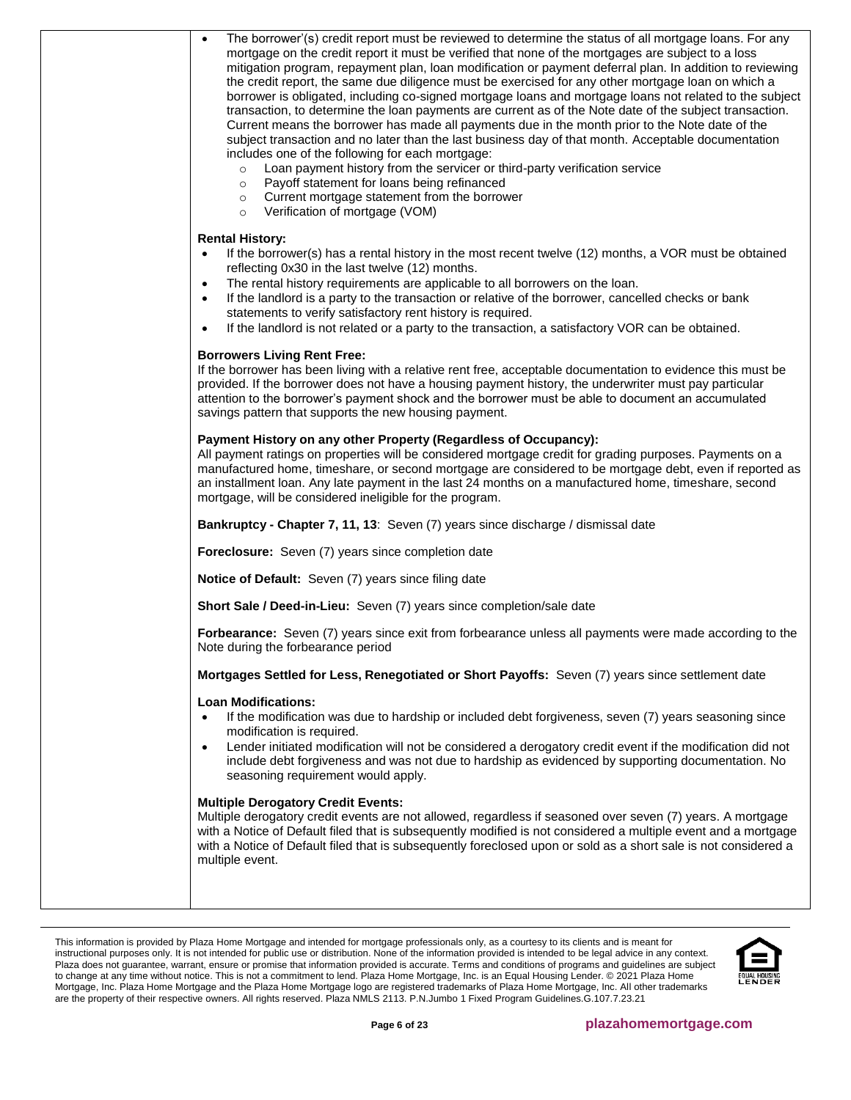| The borrower'(s) credit report must be reviewed to determine the status of all mortgage loans. For any<br>$\bullet$<br>mortgage on the credit report it must be verified that none of the mortgages are subject to a loss<br>mitigation program, repayment plan, loan modification or payment deferral plan. In addition to reviewing<br>the credit report, the same due diligence must be exercised for any other mortgage loan on which a<br>borrower is obligated, including co-signed mortgage loans and mortgage loans not related to the subject<br>transaction, to determine the loan payments are current as of the Note date of the subject transaction.<br>Current means the borrower has made all payments due in the month prior to the Note date of the<br>subject transaction and no later than the last business day of that month. Acceptable documentation<br>includes one of the following for each mortgage:<br>Loan payment history from the servicer or third-party verification service<br>$\circ$<br>Payoff statement for loans being refinanced<br>$\circ$<br>Current mortgage statement from the borrower<br>$\circ$<br>Verification of mortgage (VOM)<br>$\circ$ |
|--------------------------------------------------------------------------------------------------------------------------------------------------------------------------------------------------------------------------------------------------------------------------------------------------------------------------------------------------------------------------------------------------------------------------------------------------------------------------------------------------------------------------------------------------------------------------------------------------------------------------------------------------------------------------------------------------------------------------------------------------------------------------------------------------------------------------------------------------------------------------------------------------------------------------------------------------------------------------------------------------------------------------------------------------------------------------------------------------------------------------------------------------------------------------------------------|
| <b>Rental History:</b><br>If the borrower(s) has a rental history in the most recent twelve (12) months, a VOR must be obtained<br>$\bullet$<br>reflecting 0x30 in the last twelve (12) months.<br>The rental history requirements are applicable to all borrowers on the loan.<br>$\bullet$<br>If the landlord is a party to the transaction or relative of the borrower, cancelled checks or bank<br>$\bullet$<br>statements to verify satisfactory rent history is required.                                                                                                                                                                                                                                                                                                                                                                                                                                                                                                                                                                                                                                                                                                            |
| If the landlord is not related or a party to the transaction, a satisfactory VOR can be obtained.<br>$\bullet$<br><b>Borrowers Living Rent Free:</b><br>If the borrower has been living with a relative rent free, acceptable documentation to evidence this must be<br>provided. If the borrower does not have a housing payment history, the underwriter must pay particular<br>attention to the borrower's payment shock and the borrower must be able to document an accumulated<br>savings pattern that supports the new housing payment.                                                                                                                                                                                                                                                                                                                                                                                                                                                                                                                                                                                                                                             |
| Payment History on any other Property (Regardless of Occupancy):<br>All payment ratings on properties will be considered mortgage credit for grading purposes. Payments on a<br>manufactured home, timeshare, or second mortgage are considered to be mortgage debt, even if reported as<br>an installment loan. Any late payment in the last 24 months on a manufactured home, timeshare, second<br>mortgage, will be considered ineligible for the program.                                                                                                                                                                                                                                                                                                                                                                                                                                                                                                                                                                                                                                                                                                                              |
| Bankruptcy - Chapter 7, 11, 13: Seven (7) years since discharge / dismissal date                                                                                                                                                                                                                                                                                                                                                                                                                                                                                                                                                                                                                                                                                                                                                                                                                                                                                                                                                                                                                                                                                                           |
| Foreclosure: Seven (7) years since completion date                                                                                                                                                                                                                                                                                                                                                                                                                                                                                                                                                                                                                                                                                                                                                                                                                                                                                                                                                                                                                                                                                                                                         |
| Notice of Default: Seven (7) years since filing date                                                                                                                                                                                                                                                                                                                                                                                                                                                                                                                                                                                                                                                                                                                                                                                                                                                                                                                                                                                                                                                                                                                                       |
| Short Sale / Deed-in-Lieu: Seven (7) years since completion/sale date                                                                                                                                                                                                                                                                                                                                                                                                                                                                                                                                                                                                                                                                                                                                                                                                                                                                                                                                                                                                                                                                                                                      |
| Forbearance: Seven (7) years since exit from forbearance unless all payments were made according to the<br>Note during the forbearance period                                                                                                                                                                                                                                                                                                                                                                                                                                                                                                                                                                                                                                                                                                                                                                                                                                                                                                                                                                                                                                              |
| Mortgages Settled for Less, Renegotiated or Short Payoffs: Seven (7) years since settlement date                                                                                                                                                                                                                                                                                                                                                                                                                                                                                                                                                                                                                                                                                                                                                                                                                                                                                                                                                                                                                                                                                           |
| <b>Loan Modifications:</b><br>If the modification was due to hardship or included debt forgiveness, seven (7) years seasoning since<br>$\bullet$<br>modification is required.<br>Lender initiated modification will not be considered a derogatory credit event if the modification did not<br>$\bullet$<br>include debt forgiveness and was not due to hardship as evidenced by supporting documentation. No<br>seasoning requirement would apply.                                                                                                                                                                                                                                                                                                                                                                                                                                                                                                                                                                                                                                                                                                                                        |
| <b>Multiple Derogatory Credit Events:</b><br>Multiple derogatory credit events are not allowed, regardless if seasoned over seven (7) years. A mortgage<br>with a Notice of Default filed that is subsequently modified is not considered a multiple event and a mortgage<br>with a Notice of Default filed that is subsequently foreclosed upon or sold as a short sale is not considered a<br>multiple event.                                                                                                                                                                                                                                                                                                                                                                                                                                                                                                                                                                                                                                                                                                                                                                            |
|                                                                                                                                                                                                                                                                                                                                                                                                                                                                                                                                                                                                                                                                                                                                                                                                                                                                                                                                                                                                                                                                                                                                                                                            |
|                                                                                                                                                                                                                                                                                                                                                                                                                                                                                                                                                                                                                                                                                                                                                                                                                                                                                                                                                                                                                                                                                                                                                                                            |

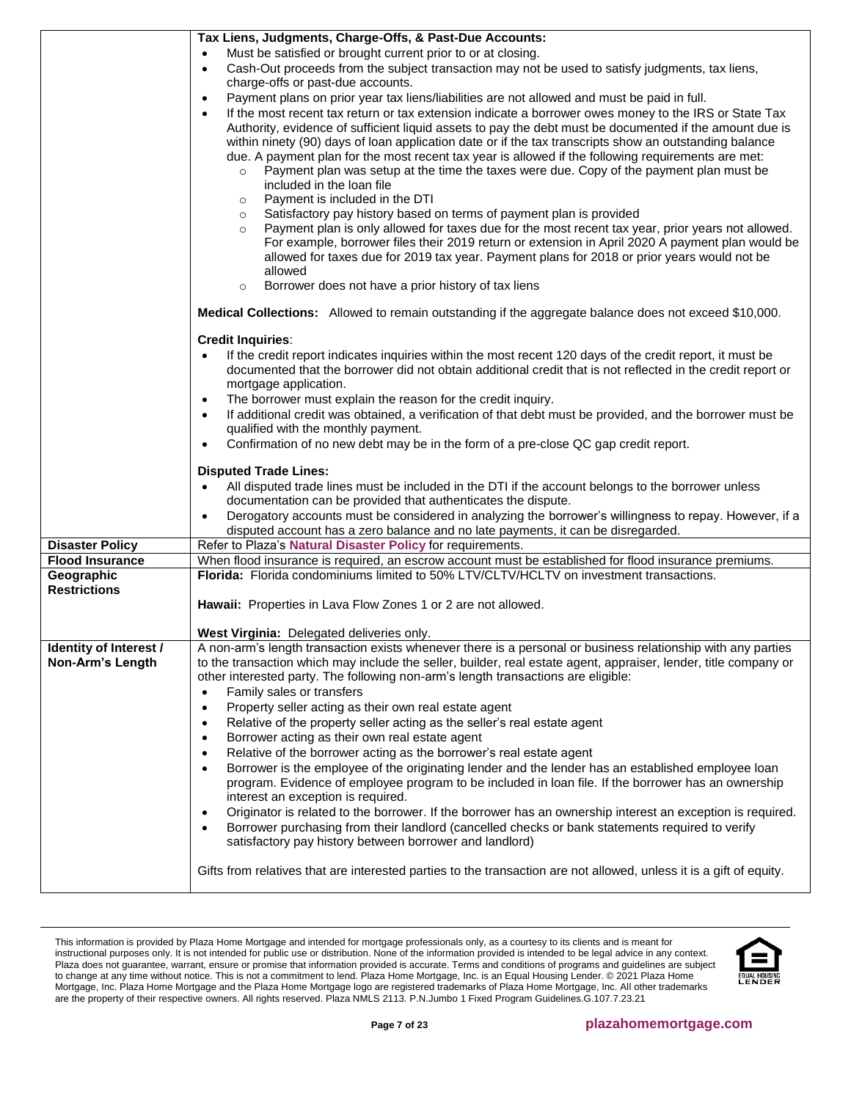|                                                  | Tax Liens, Judgments, Charge-Offs, & Past-Due Accounts:                                                                                                                                             |
|--------------------------------------------------|-----------------------------------------------------------------------------------------------------------------------------------------------------------------------------------------------------|
|                                                  | Must be satisfied or brought current prior to or at closing.                                                                                                                                        |
|                                                  | Cash-Out proceeds from the subject transaction may not be used to satisfy judgments, tax liens,<br>$\bullet$<br>charge-offs or past-due accounts.                                                   |
|                                                  | Payment plans on prior year tax liens/liabilities are not allowed and must be paid in full.<br>$\bullet$                                                                                            |
|                                                  | If the most recent tax return or tax extension indicate a borrower owes money to the IRS or State Tax<br>$\bullet$                                                                                  |
|                                                  | Authority, evidence of sufficient liquid assets to pay the debt must be documented if the amount due is                                                                                             |
|                                                  | within ninety (90) days of loan application date or if the tax transcripts show an outstanding balance                                                                                              |
|                                                  | due. A payment plan for the most recent tax year is allowed if the following requirements are met:                                                                                                  |
|                                                  | Payment plan was setup at the time the taxes were due. Copy of the payment plan must be<br>$\circ$<br>included in the loan file                                                                     |
|                                                  | Payment is included in the DTI<br>$\circ$                                                                                                                                                           |
|                                                  | Satisfactory pay history based on terms of payment plan is provided<br>$\circ$                                                                                                                      |
|                                                  | Payment plan is only allowed for taxes due for the most recent tax year, prior years not allowed.<br>$\circ$                                                                                        |
|                                                  | For example, borrower files their 2019 return or extension in April 2020 A payment plan would be                                                                                                    |
|                                                  | allowed for taxes due for 2019 tax year. Payment plans for 2018 or prior years would not be                                                                                                         |
|                                                  | allowed<br>Borrower does not have a prior history of tax liens<br>$\circ$                                                                                                                           |
|                                                  |                                                                                                                                                                                                     |
|                                                  | Medical Collections: Allowed to remain outstanding if the aggregate balance does not exceed \$10,000.                                                                                               |
|                                                  | <b>Credit Inquiries:</b>                                                                                                                                                                            |
|                                                  | If the credit report indicates inquiries within the most recent 120 days of the credit report, it must be<br>$\bullet$                                                                              |
|                                                  | documented that the borrower did not obtain additional credit that is not reflected in the credit report or<br>mortgage application.                                                                |
|                                                  | The borrower must explain the reason for the credit inquiry.                                                                                                                                        |
|                                                  | If additional credit was obtained, a verification of that debt must be provided, and the borrower must be<br>$\bullet$                                                                              |
|                                                  | qualified with the monthly payment.                                                                                                                                                                 |
|                                                  | Confirmation of no new debt may be in the form of a pre-close QC gap credit report.<br>$\bullet$                                                                                                    |
|                                                  | <b>Disputed Trade Lines:</b>                                                                                                                                                                        |
|                                                  | All disputed trade lines must be included in the DTI if the account belongs to the borrower unless<br>$\bullet$                                                                                     |
|                                                  | documentation can be provided that authenticates the dispute.                                                                                                                                       |
|                                                  | Derogatory accounts must be considered in analyzing the borrower's willingness to repay. However, if a                                                                                              |
|                                                  | disputed account has a zero balance and no late payments, it can be disregarded.                                                                                                                    |
| <b>Disaster Policy</b><br><b>Flood Insurance</b> | Refer to Plaza's Natural Disaster Policy for requirements.                                                                                                                                          |
| Geographic                                       | When flood insurance is required, an escrow account must be established for flood insurance premiums.<br>Florida: Florida condominiums limited to 50% LTV/CLTV/HCLTV on investment transactions.    |
| <b>Restrictions</b>                              |                                                                                                                                                                                                     |
|                                                  | Hawaii: Properties in Lava Flow Zones 1 or 2 are not allowed.                                                                                                                                       |
|                                                  |                                                                                                                                                                                                     |
| Identity of Interest /                           | <b>West Virginia: Delegated deliveries only.</b><br>A non-arm's length transaction exists whenever there is a personal or business relationship with any parties                                    |
| Non-Arm's Length                                 | to the transaction which may include the seller, builder, real estate agent, appraiser, lender, title company or                                                                                    |
|                                                  | other interested party. The following non-arm's length transactions are eligible:                                                                                                                   |
|                                                  | Family sales or transfers<br>$\bullet$                                                                                                                                                              |
|                                                  | Property seller acting as their own real estate agent<br>$\bullet$                                                                                                                                  |
|                                                  | Relative of the property seller acting as the seller's real estate agent<br>$\bullet$                                                                                                               |
|                                                  | Borrower acting as their own real estate agent<br>$\bullet$                                                                                                                                         |
|                                                  | Relative of the borrower acting as the borrower's real estate agent<br>$\bullet$<br>Borrower is the employee of the originating lender and the lender has an established employee loan<br>$\bullet$ |
|                                                  | program. Evidence of employee program to be included in loan file. If the borrower has an ownership                                                                                                 |
|                                                  | interest an exception is required.                                                                                                                                                                  |
|                                                  | Originator is related to the borrower. If the borrower has an ownership interest an exception is required.<br>$\bullet$                                                                             |
|                                                  | Borrower purchasing from their landlord (cancelled checks or bank statements required to verify<br>$\bullet$                                                                                        |
|                                                  | satisfactory pay history between borrower and landlord)                                                                                                                                             |
|                                                  | Gifts from relatives that are interested parties to the transaction are not allowed, unless it is a gift of equity.                                                                                 |
|                                                  |                                                                                                                                                                                                     |

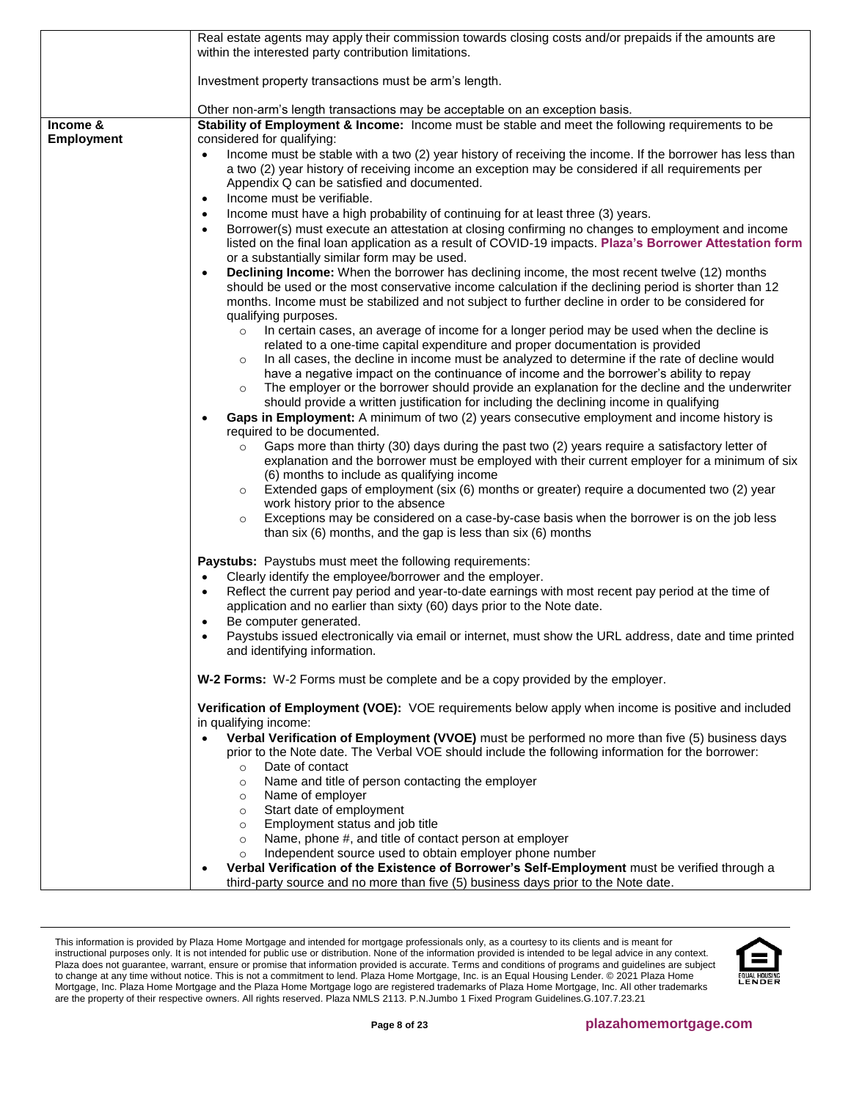|                   | Real estate agents may apply their commission towards closing costs and/or prepaids if the amounts are<br>within the interested party contribution limitations.                                                                                                                                                                                                                                                      |
|-------------------|----------------------------------------------------------------------------------------------------------------------------------------------------------------------------------------------------------------------------------------------------------------------------------------------------------------------------------------------------------------------------------------------------------------------|
|                   | Investment property transactions must be arm's length.                                                                                                                                                                                                                                                                                                                                                               |
|                   | Other non-arm's length transactions may be acceptable on an exception basis.                                                                                                                                                                                                                                                                                                                                         |
| Income &          | Stability of Employment & Income: Income must be stable and meet the following requirements to be                                                                                                                                                                                                                                                                                                                    |
| <b>Employment</b> | considered for qualifying:                                                                                                                                                                                                                                                                                                                                                                                           |
|                   | Income must be stable with a two (2) year history of receiving the income. If the borrower has less than<br>$\bullet$<br>a two (2) year history of receiving income an exception may be considered if all requirements per<br>Appendix Q can be satisfied and documented.<br>Income must be verifiable.<br>$\bullet$<br>Income must have a high probability of continuing for at least three (3) years.<br>$\bullet$ |
|                   | Borrower(s) must execute an attestation at closing confirming no changes to employment and income<br>$\bullet$<br>listed on the final loan application as a result of COVID-19 impacts. Plaza's Borrower Attestation form<br>or a substantially similar form may be used.                                                                                                                                            |
|                   | <b>Declining Income:</b> When the borrower has declining income, the most recent twelve (12) months<br>$\bullet$<br>should be used or the most conservative income calculation if the declining period is shorter than 12<br>months. Income must be stabilized and not subject to further decline in order to be considered for<br>qualifying purposes.                                                              |
|                   | In certain cases, an average of income for a longer period may be used when the decline is<br>$\circ$<br>related to a one-time capital expenditure and proper documentation is provided<br>In all cases, the decline in income must be analyzed to determine if the rate of decline would<br>$\circ$                                                                                                                 |
|                   | have a negative impact on the continuance of income and the borrower's ability to repay<br>The employer or the borrower should provide an explanation for the decline and the underwriter<br>$\circ$<br>should provide a written justification for including the declining income in qualifying                                                                                                                      |
|                   | Gaps in Employment: A minimum of two (2) years consecutive employment and income history is<br>required to be documented.                                                                                                                                                                                                                                                                                            |
|                   | Gaps more than thirty (30) days during the past two (2) years require a satisfactory letter of<br>$\circ$<br>explanation and the borrower must be employed with their current employer for a minimum of six<br>(6) months to include as qualifying income                                                                                                                                                            |
|                   | Extended gaps of employment (six (6) months or greater) require a documented two (2) year<br>$\circ$<br>work history prior to the absence                                                                                                                                                                                                                                                                            |
|                   | Exceptions may be considered on a case-by-case basis when the borrower is on the job less<br>$\circ$<br>than six (6) months, and the gap is less than six (6) months                                                                                                                                                                                                                                                 |
|                   | <b>Paystubs:</b> Paystubs must meet the following requirements:<br>Clearly identify the employee/borrower and the employer.<br>$\bullet$                                                                                                                                                                                                                                                                             |
|                   | Reflect the current pay period and year-to-date earnings with most recent pay period at the time of<br>$\bullet$<br>application and no earlier than sixty (60) days prior to the Note date.                                                                                                                                                                                                                          |
|                   | Be computer generated.<br>$\bullet$                                                                                                                                                                                                                                                                                                                                                                                  |
|                   | Paystubs issued electronically via email or internet, must show the URL address, date and time printed<br>$\bullet$<br>and identifying information.                                                                                                                                                                                                                                                                  |
|                   | <b>W-2 Forms:</b> W-2 Forms must be complete and be a copy provided by the employer.                                                                                                                                                                                                                                                                                                                                 |
|                   | Verification of Employment (VOE): VOE requirements below apply when income is positive and included<br>in qualifying income:                                                                                                                                                                                                                                                                                         |
|                   | Verbal Verification of Employment (VVOE) must be performed no more than five (5) business days<br>prior to the Note date. The Verbal VOE should include the following information for the borrower:<br>Date of contact<br>$\circ$                                                                                                                                                                                    |
|                   | Name and title of person contacting the employer<br>$\circ$<br>Name of employer<br>$\circ$                                                                                                                                                                                                                                                                                                                           |
|                   | Start date of employment<br>$\circ$                                                                                                                                                                                                                                                                                                                                                                                  |
|                   | Employment status and job title<br>$\circ$                                                                                                                                                                                                                                                                                                                                                                           |
|                   | Name, phone #, and title of contact person at employer<br>$\circ$                                                                                                                                                                                                                                                                                                                                                    |
|                   | Independent source used to obtain employer phone number<br>$\circ$                                                                                                                                                                                                                                                                                                                                                   |
|                   | Verbal Verification of the Existence of Borrower's Self-Employment must be verified through a<br>third-party source and no more than five (5) business days prior to the Note date.                                                                                                                                                                                                                                  |

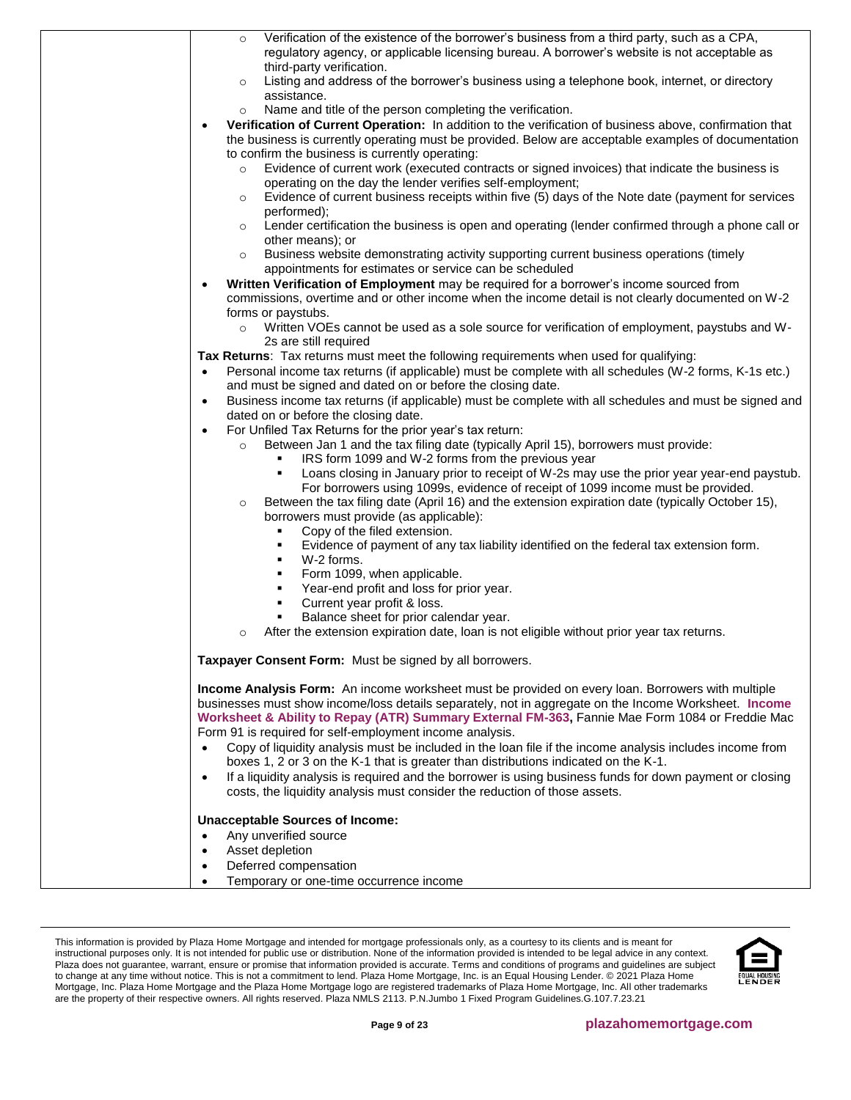| Verification of the existence of the borrower's business from a third party, such as a CPA,<br>$\circ$<br>regulatory agency, or applicable licensing bureau. A borrower's website is not acceptable as          |
|-----------------------------------------------------------------------------------------------------------------------------------------------------------------------------------------------------------------|
| third-party verification.                                                                                                                                                                                       |
| Listing and address of the borrower's business using a telephone book, internet, or directory<br>$\circ$<br>assistance.                                                                                         |
| Name and title of the person completing the verification.<br>$\circ$                                                                                                                                            |
| Verification of Current Operation: In addition to the verification of business above, confirmation that<br>the business is currently operating must be provided. Below are acceptable examples of documentation |
| to confirm the business is currently operating:                                                                                                                                                                 |
| Evidence of current work (executed contracts or signed invoices) that indicate the business is                                                                                                                  |
| operating on the day the lender verifies self-employment;<br>Evidence of current business receipts within five (5) days of the Note date (payment for services                                                  |
| $\circ$<br>performed);                                                                                                                                                                                          |
| Lender certification the business is open and operating (lender confirmed through a phone call or<br>$\circ$<br>other means); or                                                                                |
| Business website demonstrating activity supporting current business operations (timely<br>$\circ$                                                                                                               |
| appointments for estimates or service can be scheduled                                                                                                                                                          |
| Written Verification of Employment may be required for a borrower's income sourced from<br>$\bullet$                                                                                                            |
| commissions, overtime and or other income when the income detail is not clearly documented on W-2                                                                                                               |
| forms or paystubs.<br>Written VOEs cannot be used as a sole source for verification of employment, paystubs and W-<br>$\circ$                                                                                   |
| 2s are still required                                                                                                                                                                                           |
| Tax Returns: Tax returns must meet the following requirements when used for qualifying:                                                                                                                         |
| Personal income tax returns (if applicable) must be complete with all schedules (W-2 forms, K-1s etc.)<br>$\bullet$<br>and must be signed and dated on or before the closing date.                              |
| Business income tax returns (if applicable) must be complete with all schedules and must be signed and<br>$\bullet$                                                                                             |
| dated on or before the closing date.                                                                                                                                                                            |
| For Unfiled Tax Returns for the prior year's tax return:<br>$\bullet$                                                                                                                                           |
| Between Jan 1 and the tax filing date (typically April 15), borrowers must provide:<br>$\circ$                                                                                                                  |
| IRS form 1099 and W-2 forms from the previous year                                                                                                                                                              |
| Loans closing in January prior to receipt of W-2s may use the prior year year-end paystub.<br>٠<br>For borrowers using 1099s, evidence of receipt of 1099 income must be provided.                              |
| Between the tax filing date (April 16) and the extension expiration date (typically October 15),<br>$\circ$<br>borrowers must provide (as applicable):                                                          |
| Copy of the filed extension.<br>٠                                                                                                                                                                               |
| Evidence of payment of any tax liability identified on the federal tax extension form.<br>٠                                                                                                                     |
| W-2 forms.<br>٠                                                                                                                                                                                                 |
| Form 1099, when applicable.<br>٠                                                                                                                                                                                |
| Year-end profit and loss for prior year.<br>٠                                                                                                                                                                   |
| Current year profit & loss.<br>٠                                                                                                                                                                                |
| Balance sheet for prior calendar year.<br>٠                                                                                                                                                                     |
| After the extension expiration date, loan is not eligible without prior year tax returns.<br>$\circ$                                                                                                            |
| Taxpayer Consent Form: Must be signed by all borrowers.                                                                                                                                                         |
| Income Analysis Form: An income worksheet must be provided on every loan. Borrowers with multiple                                                                                                               |
| businesses must show income/loss details separately, not in aggregate on the Income Worksheet. Income                                                                                                           |
| Worksheet & Ability to Repay (ATR) Summary External FM-363, Fannie Mae Form 1084 or Freddie Mac                                                                                                                 |
| Form 91 is required for self-employment income analysis.                                                                                                                                                        |
| Copy of liquidity analysis must be included in the loan file if the income analysis includes income from<br>$\bullet$                                                                                           |
| boxes 1, 2 or 3 on the K-1 that is greater than distributions indicated on the K-1.                                                                                                                             |
| If a liquidity analysis is required and the borrower is using business funds for down payment or closing<br>$\bullet$<br>costs, the liquidity analysis must consider the reduction of those assets.             |
| <b>Unacceptable Sources of Income:</b>                                                                                                                                                                          |
| Any unverified source<br>$\bullet$                                                                                                                                                                              |
| Asset depletion<br>$\bullet$                                                                                                                                                                                    |
| Deferred compensation<br>$\bullet$                                                                                                                                                                              |
| Temporary or one-time occurrence income<br>$\bullet$                                                                                                                                                            |

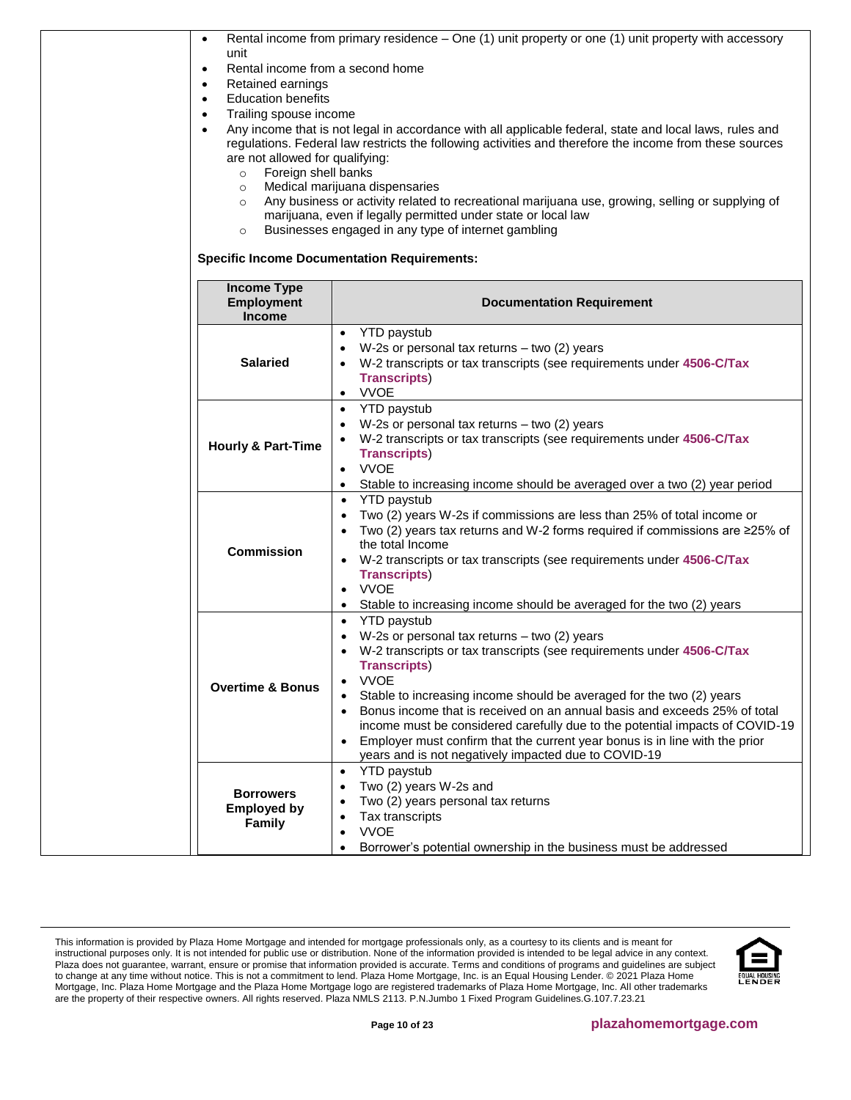| $\bullet$                                                                                                            | Rental income from primary residence – One (1) unit property or one (1) unit property with accessory    |  |  |  |  |
|----------------------------------------------------------------------------------------------------------------------|---------------------------------------------------------------------------------------------------------|--|--|--|--|
| unit                                                                                                                 |                                                                                                         |  |  |  |  |
| Rental income from a second home<br>$\bullet$                                                                        |                                                                                                         |  |  |  |  |
| Retained earnings<br>$\bullet$                                                                                       |                                                                                                         |  |  |  |  |
| <b>Education benefits</b><br>$\bullet$                                                                               |                                                                                                         |  |  |  |  |
| Trailing spouse income<br>$\bullet$                                                                                  |                                                                                                         |  |  |  |  |
| Any income that is not legal in accordance with all applicable federal, state and local laws, rules and<br>$\bullet$ |                                                                                                         |  |  |  |  |
|                                                                                                                      | regulations. Federal law restricts the following activities and therefore the income from these sources |  |  |  |  |
| are not allowed for qualifying:                                                                                      |                                                                                                         |  |  |  |  |
| Foreign shell banks<br>$\circ$                                                                                       |                                                                                                         |  |  |  |  |
| $\circ$                                                                                                              | Medical marijuana dispensaries                                                                          |  |  |  |  |
| $\circ$                                                                                                              | Any business or activity related to recreational marijuana use, growing, selling or supplying of        |  |  |  |  |
|                                                                                                                      | marijuana, even if legally permitted under state or local law                                           |  |  |  |  |
| $\circ$                                                                                                              | Businesses engaged in any type of internet gambling                                                     |  |  |  |  |
|                                                                                                                      | <b>Specific Income Documentation Requirements:</b>                                                      |  |  |  |  |
| <b>Income Type</b><br><b>Employment</b>                                                                              | <b>Documentation Requirement</b>                                                                        |  |  |  |  |
| <b>Income</b>                                                                                                        |                                                                                                         |  |  |  |  |
|                                                                                                                      | <b>YTD paystub</b><br>$\bullet$                                                                         |  |  |  |  |
|                                                                                                                      | W-2s or personal tax returns $-$ two (2) years                                                          |  |  |  |  |
| <b>Salaried</b>                                                                                                      | W-2 transcripts or tax transcripts (see requirements under 4506-C/Tax                                   |  |  |  |  |
|                                                                                                                      | <b>Transcripts)</b>                                                                                     |  |  |  |  |
|                                                                                                                      | <b>VVOE</b><br>$\bullet$                                                                                |  |  |  |  |
|                                                                                                                      |                                                                                                         |  |  |  |  |
|                                                                                                                      | <b>YTD</b> paystub<br>$\bullet$                                                                         |  |  |  |  |
|                                                                                                                      | W-2s or personal tax returns $-$ two (2) years                                                          |  |  |  |  |
| <b>Hourly &amp; Part-Time</b>                                                                                        | W-2 transcripts or tax transcripts (see requirements under 4506-C/Tax                                   |  |  |  |  |
|                                                                                                                      | <b>Transcripts)</b>                                                                                     |  |  |  |  |
|                                                                                                                      | <b>VVOE</b><br>$\bullet$                                                                                |  |  |  |  |
|                                                                                                                      | Stable to increasing income should be averaged over a two (2) year period<br>$\bullet$                  |  |  |  |  |
|                                                                                                                      | <b>YTD</b> paystub<br>$\bullet$                                                                         |  |  |  |  |
|                                                                                                                      | Two (2) years W-2s if commissions are less than 25% of total income or<br>٠                             |  |  |  |  |
|                                                                                                                      | Two (2) years tax returns and W-2 forms required if commissions are $\geq$ 25% of                       |  |  |  |  |
| <b>Commission</b>                                                                                                    | the total Income                                                                                        |  |  |  |  |
|                                                                                                                      | W-2 transcripts or tax transcripts (see requirements under 4506-C/Tax                                   |  |  |  |  |
|                                                                                                                      | <b>Transcripts)</b>                                                                                     |  |  |  |  |
|                                                                                                                      | <b>VVOE</b><br>$\bullet$                                                                                |  |  |  |  |
|                                                                                                                      | Stable to increasing income should be averaged for the two (2) years                                    |  |  |  |  |
|                                                                                                                      | <b>YTD</b> paystub<br>$\bullet$                                                                         |  |  |  |  |
|                                                                                                                      | W-2s or personal tax returns $-$ two (2) years                                                          |  |  |  |  |
|                                                                                                                      | W-2 transcripts or tax transcripts (see requirements under 4506-C/Tax                                   |  |  |  |  |
|                                                                                                                      | <b>Transcripts)</b>                                                                                     |  |  |  |  |
|                                                                                                                      | <b>VVOE</b><br>$\bullet$                                                                                |  |  |  |  |
| <b>Overtime &amp; Bonus</b>                                                                                          | Stable to increasing income should be averaged for the two (2) years                                    |  |  |  |  |
|                                                                                                                      | Bonus income that is received on an annual basis and exceeds 25% of total<br>$\bullet$                  |  |  |  |  |
|                                                                                                                      | income must be considered carefully due to the potential impacts of COVID-19                            |  |  |  |  |
|                                                                                                                      | Employer must confirm that the current year bonus is in line with the prior<br>$\bullet$                |  |  |  |  |
|                                                                                                                      | years and is not negatively impacted due to COVID-19                                                    |  |  |  |  |
|                                                                                                                      | <b>YTD</b> paystub<br>$\bullet$                                                                         |  |  |  |  |
|                                                                                                                      | Two (2) years W-2s and                                                                                  |  |  |  |  |
| <b>Borrowers</b>                                                                                                     | Two (2) years personal tax returns                                                                      |  |  |  |  |
| <b>Employed by</b>                                                                                                   | Tax transcripts<br>$\bullet$                                                                            |  |  |  |  |
| Family                                                                                                               | <b>VVOE</b>                                                                                             |  |  |  |  |
|                                                                                                                      |                                                                                                         |  |  |  |  |
|                                                                                                                      | Borrower's potential ownership in the business must be addressed                                        |  |  |  |  |

This information is provided by Plaza Home Mortgage and intended for mortgage professionals only, as a courtesy to its clients and is meant for instructional purposes only. It is not intended for public use or distribution. None of the information provided is intended to be legal advice in any context. Plaza does not guarantee, warrant, ensure or promise that information provided is accurate. Terms and conditions of programs and guidelines are subject to change at any time without notice. This is not a commitment to lend. Plaza Home Mortgage, Inc. is an Equal Housing Lender. © 2021 Plaza Home Mortgage, Inc. Plaza Home Mortgage and the Plaza Home Mortgage logo are registered trademarks of Plaza Home Mortgage, Inc. All other trademarks are the property of their respective owners. All rights reserved. Plaza NMLS 2113. P.N.Jumbo 1 Fixed Program Guidelines.G.107.7.23.21

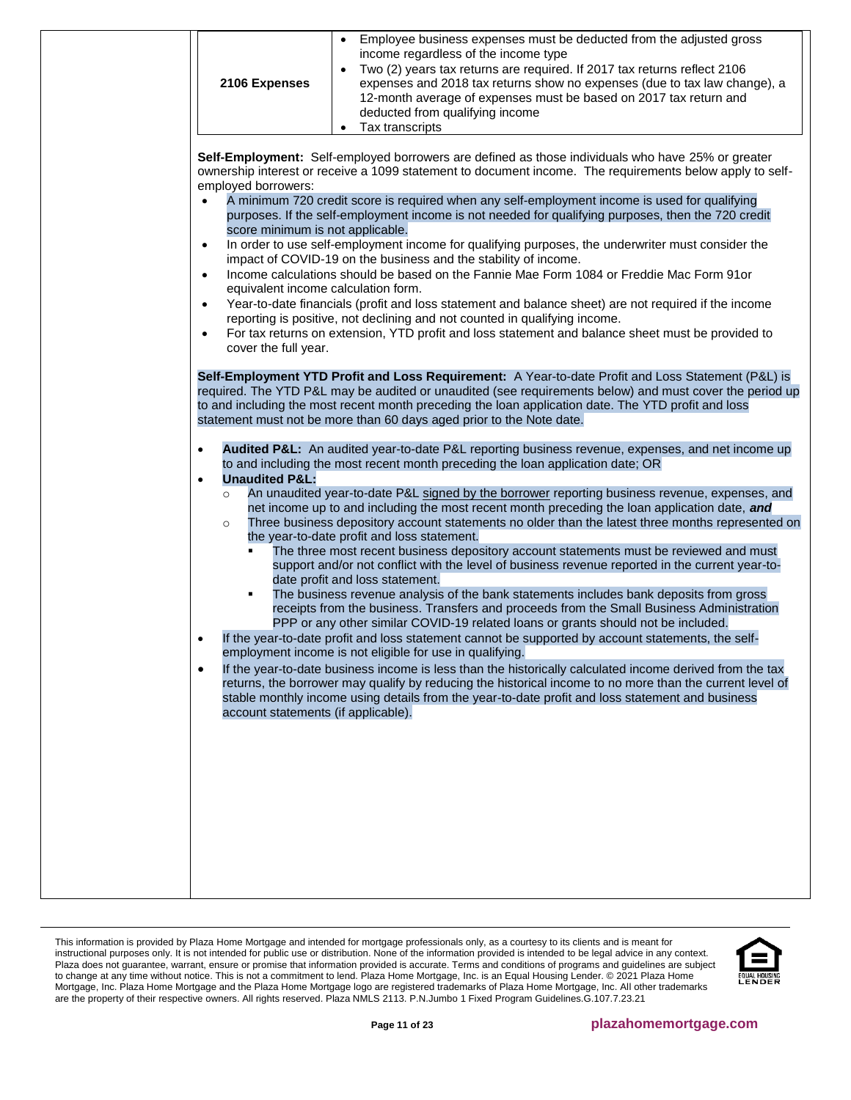<span id="page-10-0"></span>

| Employee business expenses must be deducted from the adjusted gross<br>income regardless of the income type<br>Two (2) years tax returns are required. If 2017 tax returns reflect 2106<br>2106 Expenses<br>expenses and 2018 tax returns show no expenses (due to tax law change), a<br>12-month average of expenses must be based on 2017 tax return and<br>deducted from qualifying income<br>Tax transcripts                                                                                                                                                                                                                                                                                                                                                                                                                                                                                                                                                                                                                                                                                                                                                                                                                                                                                                                                                                                                                                                                                                                                                                                                                                                                                                                                                                                                                                                                                                                                                                                                                                                                                                                                                                                                                                                                                                                                                                                                                                                                                                                                                                                                                                                                                                                                                                                                                                                                                                                                                                                                                                                                                                                                                                                                                                                    |
|---------------------------------------------------------------------------------------------------------------------------------------------------------------------------------------------------------------------------------------------------------------------------------------------------------------------------------------------------------------------------------------------------------------------------------------------------------------------------------------------------------------------------------------------------------------------------------------------------------------------------------------------------------------------------------------------------------------------------------------------------------------------------------------------------------------------------------------------------------------------------------------------------------------------------------------------------------------------------------------------------------------------------------------------------------------------------------------------------------------------------------------------------------------------------------------------------------------------------------------------------------------------------------------------------------------------------------------------------------------------------------------------------------------------------------------------------------------------------------------------------------------------------------------------------------------------------------------------------------------------------------------------------------------------------------------------------------------------------------------------------------------------------------------------------------------------------------------------------------------------------------------------------------------------------------------------------------------------------------------------------------------------------------------------------------------------------------------------------------------------------------------------------------------------------------------------------------------------------------------------------------------------------------------------------------------------------------------------------------------------------------------------------------------------------------------------------------------------------------------------------------------------------------------------------------------------------------------------------------------------------------------------------------------------------------------------------------------------------------------------------------------------------------------------------------------------------------------------------------------------------------------------------------------------------------------------------------------------------------------------------------------------------------------------------------------------------------------------------------------------------------------------------------------------------------------------------------------------------------------------------------------------|
| Self-Employment: Self-employed borrowers are defined as those individuals who have 25% or greater<br>ownership interest or receive a 1099 statement to document income. The requirements below apply to self-<br>employed borrowers:<br>A minimum 720 credit score is required when any self-employment income is used for qualifying<br>purposes. If the self-employment income is not needed for qualifying purposes, then the 720 credit<br>score minimum is not applicable.<br>In order to use self-employment income for qualifying purposes, the underwriter must consider the<br>$\bullet$<br>impact of COVID-19 on the business and the stability of income.<br>Income calculations should be based on the Fannie Mae Form 1084 or Freddie Mac Form 91or<br>equivalent income calculation form.<br>Year-to-date financials (profit and loss statement and balance sheet) are not required if the income<br>$\bullet$<br>reporting is positive, not declining and not counted in qualifying income.<br>For tax returns on extension, YTD profit and loss statement and balance sheet must be provided to<br>cover the full year.<br>Self-Employment YTD Profit and Loss Requirement: A Year-to-date Profit and Loss Statement (P&L) is<br>required. The YTD P&L may be audited or unaudited (see requirements below) and must cover the period up<br>to and including the most recent month preceding the loan application date. The YTD profit and loss<br>statement must not be more than 60 days aged prior to the Note date.<br>Audited P&L: An audited year-to-date P&L reporting business revenue, expenses, and net income up<br>$\bullet$<br>to and including the most recent month preceding the loan application date; OR<br><b>Unaudited P&amp;L:</b><br>$\bullet$<br>An unaudited year-to-date P&L signed by the borrower reporting business revenue, expenses, and<br>$\circ$<br>net income up to and including the most recent month preceding the loan application date, and<br>Three business depository account statements no older than the latest three months represented on<br>$\circ$<br>the year-to-date profit and loss statement.<br>The three most recent business depository account statements must be reviewed and must<br>٠<br>support and/or not conflict with the level of business revenue reported in the current year-to-<br>date profit and loss statement.<br>The business revenue analysis of the bank statements includes bank deposits from gross<br>$\blacksquare$<br>receipts from the business. Transfers and proceeds from the Small Business Administration<br>PPP or any other similar COVID-19 related loans or grants should not be included.<br>If the year-to-date profit and loss statement cannot be supported by account statements, the self-<br>$\bullet$<br>employment income is not eligible for use in qualifying.<br>If the year-to-date business income is less than the historically calculated income derived from the tax<br>$\bullet$<br>returns, the borrower may qualify by reducing the historical income to no more than the current level of<br>stable monthly income using details from the year-to-date profit and loss statement and business<br>account statements (if applicable). |
|                                                                                                                                                                                                                                                                                                                                                                                                                                                                                                                                                                                                                                                                                                                                                                                                                                                                                                                                                                                                                                                                                                                                                                                                                                                                                                                                                                                                                                                                                                                                                                                                                                                                                                                                                                                                                                                                                                                                                                                                                                                                                                                                                                                                                                                                                                                                                                                                                                                                                                                                                                                                                                                                                                                                                                                                                                                                                                                                                                                                                                                                                                                                                                                                                                                                     |

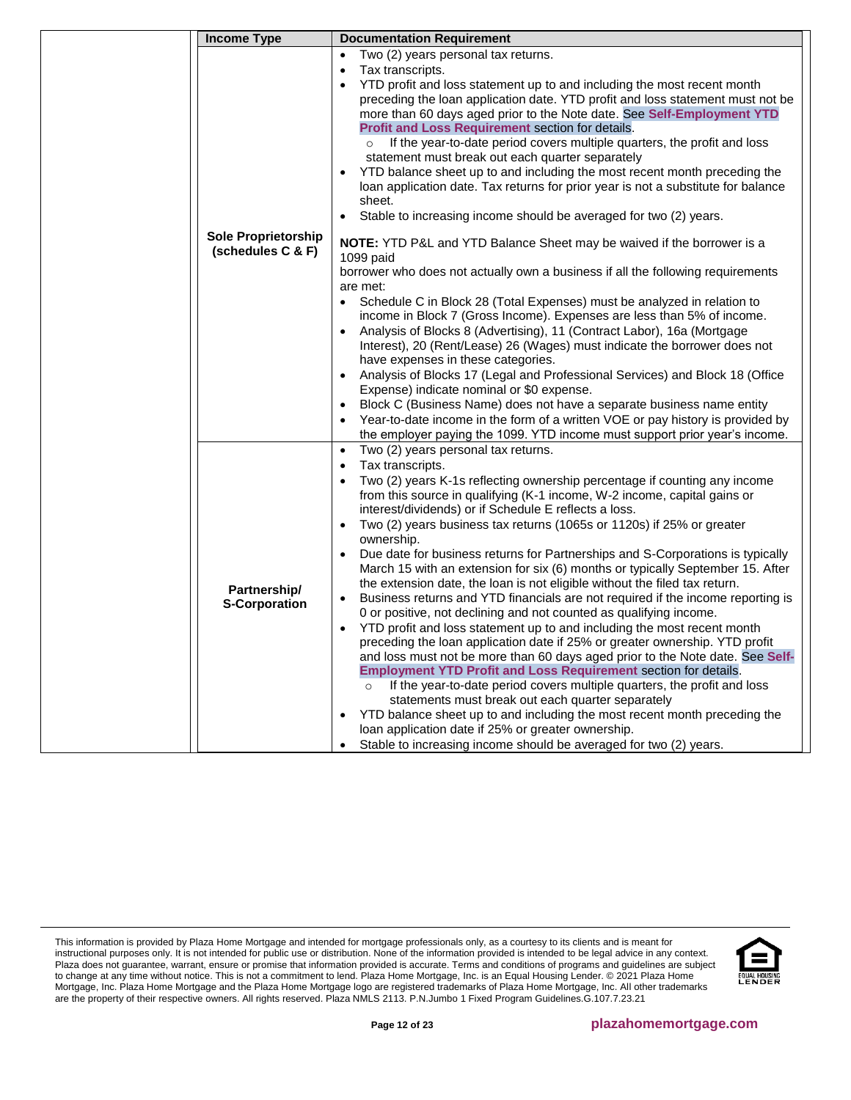| <b>Income Type</b>         | <b>Documentation Requirement</b>                                                                 |
|----------------------------|--------------------------------------------------------------------------------------------------|
|                            | Two (2) years personal tax returns.<br>$\bullet$                                                 |
|                            | Tax transcripts.                                                                                 |
|                            | YTD profit and loss statement up to and including the most recent month                          |
|                            | preceding the loan application date. YTD profit and loss statement must not be                   |
|                            | more than 60 days aged prior to the Note date. See Self-Employment YTD                           |
|                            | Profit and Loss Requirement section for details.                                                 |
|                            | If the year-to-date period covers multiple quarters, the profit and loss<br>$\circ$              |
|                            | statement must break out each quarter separately                                                 |
|                            | YTD balance sheet up to and including the most recent month preceding the<br>٠                   |
|                            | loan application date. Tax returns for prior year is not a substitute for balance                |
|                            | sheet.                                                                                           |
|                            | Stable to increasing income should be averaged for two (2) years.                                |
| <b>Sole Proprietorship</b> |                                                                                                  |
| (schedules C & F)          | NOTE: YTD P&L and YTD Balance Sheet may be waived if the borrower is a                           |
|                            | 1099 paid<br>borrower who does not actually own a business if all the following requirements     |
|                            | are met:                                                                                         |
|                            | Schedule C in Block 28 (Total Expenses) must be analyzed in relation to                          |
|                            | income in Block 7 (Gross Income). Expenses are less than 5% of income.                           |
|                            | Analysis of Blocks 8 (Advertising), 11 (Contract Labor), 16a (Mortgage<br>$\bullet$              |
|                            | Interest), 20 (Rent/Lease) 26 (Wages) must indicate the borrower does not                        |
|                            | have expenses in these categories.                                                               |
|                            | Analysis of Blocks 17 (Legal and Professional Services) and Block 18 (Office                     |
|                            | Expense) indicate nominal or \$0 expense.                                                        |
|                            | Block C (Business Name) does not have a separate business name entity                            |
|                            | Year-to-date income in the form of a written VOE or pay history is provided by                   |
|                            | the employer paying the 1099. YTD income must support prior year's income.                       |
|                            | Two (2) years personal tax returns.<br>$\bullet$                                                 |
|                            | Tax transcripts.                                                                                 |
|                            | Two (2) years K-1s reflecting ownership percentage if counting any income                        |
|                            | from this source in qualifying (K-1 income, W-2 income, capital gains or                         |
|                            | interest/dividends) or if Schedule E reflects a loss.                                            |
|                            | Two (2) years business tax returns (1065s or 1120s) if 25% or greater<br>$\bullet$<br>ownership. |
|                            | Due date for business returns for Partnerships and S-Corporations is typically<br>$\bullet$      |
|                            | March 15 with an extension for six (6) months or typically September 15. After                   |
|                            | the extension date, the loan is not eligible without the filed tax return.                       |
| Partnership/               | Business returns and YTD financials are not required if the income reporting is<br>$\bullet$     |
| <b>S-Corporation</b>       | 0 or positive, not declining and not counted as qualifying income.                               |
|                            | YTD profit and loss statement up to and including the most recent month                          |
|                            | preceding the loan application date if 25% or greater ownership. YTD profit                      |
|                            | and loss must not be more than 60 days aged prior to the Note date. See Self-                    |
|                            | <b>Employment YTD Profit and Loss Requirement section for details.</b>                           |
|                            | If the year-to-date period covers multiple quarters, the profit and loss<br>$\circ$              |
|                            | statements must break out each quarter separately                                                |
|                            | YTD balance sheet up to and including the most recent month preceding the<br>$\bullet$           |
|                            | loan application date if 25% or greater ownership.                                               |
|                            | Stable to increasing income should be averaged for two (2) years.                                |

This information is provided by Plaza Home Mortgage and intended for mortgage professionals only, as a courtesy to its clients and is meant for instructional purposes only. It is not intended for public use or distribution. None of the information provided is intended to be legal advice in any context. Plaza does not guarantee, warrant, ensure or promise that information provided is accurate. Terms and conditions of programs and guidelines are subject to change at any time without notice. This is not a commitment to lend. Plaza Home Mortgage, Inc. is an Equal Housing Lender. © 2021 Plaza Home Mortgage, Inc. Plaza Home Mortgage and the Plaza Home Mortgage logo are registered trademarks of Plaza Home Mortgage, Inc. All other trademarks are the property of their respective owners. All rights reserved. Plaza NMLS 2113. P.N.Jumbo 1 Fixed Program Guidelines.G.107.7.23.21

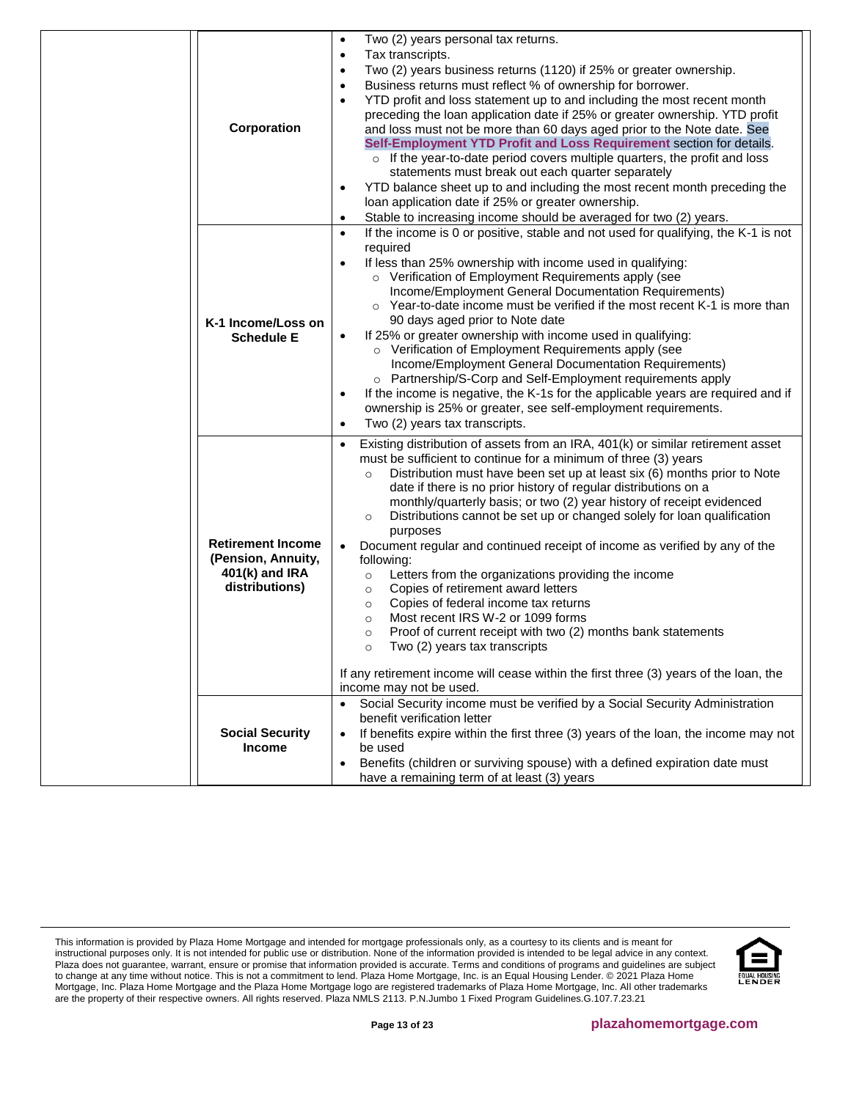|                          | Two (2) years personal tax returns.<br>$\bullet$                                                                   |
|--------------------------|--------------------------------------------------------------------------------------------------------------------|
|                          | Tax transcripts.<br>$\bullet$                                                                                      |
|                          | Two (2) years business returns (1120) if 25% or greater ownership.<br>$\bullet$                                    |
|                          | Business returns must reflect % of ownership for borrower.<br>$\bullet$                                            |
|                          | YTD profit and loss statement up to and including the most recent month<br>$\bullet$                               |
|                          | preceding the loan application date if 25% or greater ownership. YTD profit                                        |
| Corporation              | and loss must not be more than 60 days aged prior to the Note date. See                                            |
|                          | Self-Employment YTD Profit and Loss Requirement section for details.                                               |
|                          | $\circ$ If the year-to-date period covers multiple quarters, the profit and loss                                   |
|                          | statements must break out each quarter separately                                                                  |
|                          | YTD balance sheet up to and including the most recent month preceding the<br>$\bullet$                             |
|                          | loan application date if 25% or greater ownership.                                                                 |
|                          | Stable to increasing income should be averaged for two (2) years.<br>$\bullet$                                     |
|                          | If the income is 0 or positive, stable and not used for qualifying, the K-1 is not<br>$\bullet$                    |
|                          | required                                                                                                           |
|                          | If less than 25% ownership with income used in qualifying:<br>o Verification of Employment Requirements apply (see |
|                          | Income/Employment General Documentation Requirements)                                                              |
|                          | ○ Year-to-date income must be verified if the most recent K-1 is more than                                         |
| K-1 Income/Loss on       | 90 days aged prior to Note date                                                                                    |
| <b>Schedule E</b>        | If 25% or greater ownership with income used in qualifying:<br>٠                                                   |
|                          | o Verification of Employment Requirements apply (see                                                               |
|                          | Income/Employment General Documentation Requirements)                                                              |
|                          | o Partnership/S-Corp and Self-Employment requirements apply                                                        |
|                          | If the income is negative, the K-1s for the applicable years are required and if<br>$\bullet$                      |
|                          | ownership is 25% or greater, see self-employment requirements.                                                     |
|                          | Two (2) years tax transcripts.<br>$\bullet$                                                                        |
|                          | Existing distribution of assets from an IRA, 401(k) or similar retirement asset                                    |
|                          | must be sufficient to continue for a minimum of three (3) years                                                    |
|                          | Distribution must have been set up at least six (6) months prior to Note<br>$\circ$                                |
|                          | date if there is no prior history of regular distributions on a                                                    |
|                          | monthly/quarterly basis; or two (2) year history of receipt evidenced                                              |
|                          | Distributions cannot be set up or changed solely for loan qualification<br>$\circ$                                 |
|                          | purposes                                                                                                           |
| <b>Retirement Income</b> | Document regular and continued receipt of income as verified by any of the                                         |
| (Pension, Annuity,       | following:                                                                                                         |
| 401(k) and IRA           | Letters from the organizations providing the income<br>$\circ$                                                     |
| distributions)           | Copies of retirement award letters<br>$\circ$                                                                      |
|                          | Copies of federal income tax returns<br>$\circ$                                                                    |
|                          | Most recent IRS W-2 or 1099 forms<br>$\circ$                                                                       |
|                          | Proof of current receipt with two (2) months bank statements<br>$\circ$                                            |
|                          | Two (2) years tax transcripts<br>$\circ$                                                                           |
|                          | If any retirement income will cease within the first three (3) years of the loan, the                              |
|                          | income may not be used.                                                                                            |
|                          | Social Security income must be verified by a Social Security Administration                                        |
|                          | benefit verification letter                                                                                        |
| <b>Social Security</b>   | If benefits expire within the first three (3) years of the loan, the income may not<br>$\bullet$                   |
| Income                   | be used                                                                                                            |
|                          | Benefits (children or surviving spouse) with a defined expiration date must<br>٠                                   |
|                          | have a remaining term of at least (3) years                                                                        |

This information is provided by Plaza Home Mortgage and intended for mortgage professionals only, as a courtesy to its clients and is meant for instructional purposes only. It is not intended for public use or distribution. None of the information provided is intended to be legal advice in any context. Plaza does not guarantee, warrant, ensure or promise that information provided is accurate. Terms and conditions of programs and guidelines are subject to change at any time without notice. This is not a commitment to lend. Plaza Home Mortgage, Inc. is an Equal Housing Lender. © 2021 Plaza Home Mortgage, Inc. Plaza Home Mortgage and the Plaza Home Mortgage logo are registered trademarks of Plaza Home Mortgage, Inc. All other trademarks are the property of their respective owners. All rights reserved. Plaza NMLS 2113. P.N.Jumbo 1 Fixed Program Guidelines.G.107.7.23.21

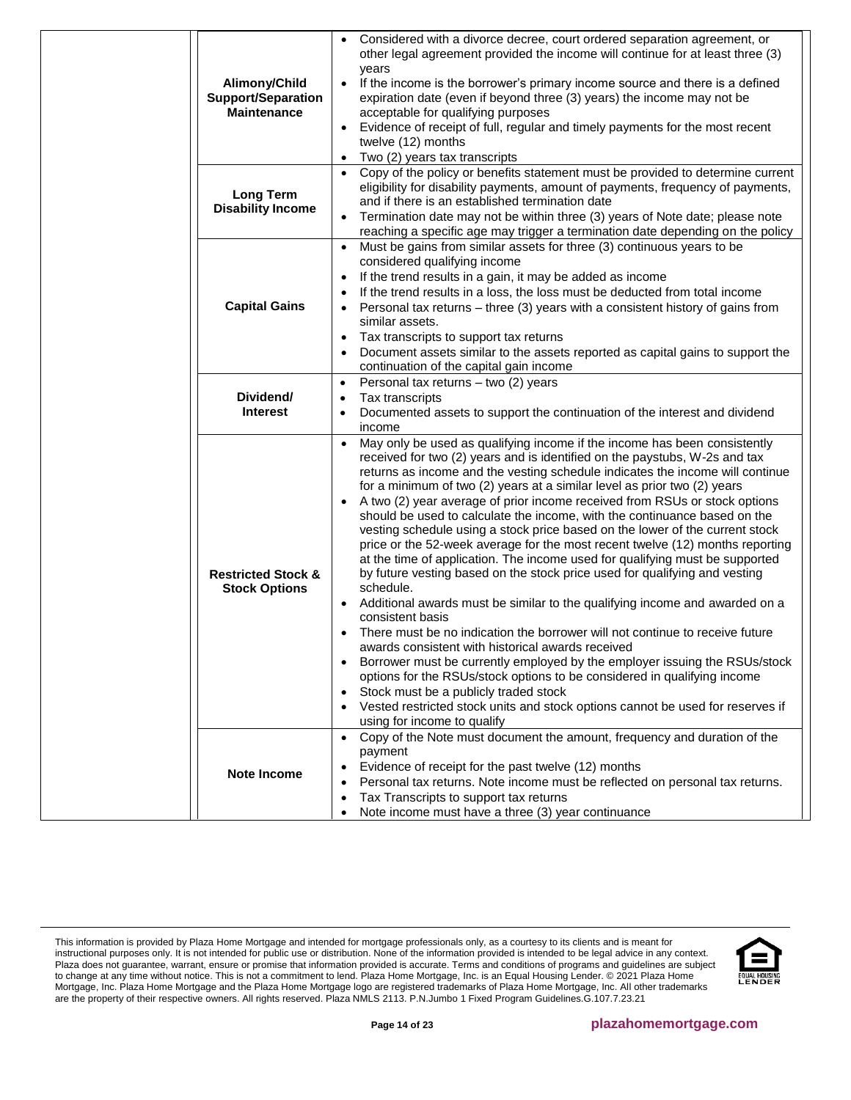| Alimony/Child<br><b>Support/Separation</b><br><b>Maintenance</b> | Considered with a divorce decree, court ordered separation agreement, or<br>other legal agreement provided the income will continue for at least three (3)<br>years<br>If the income is the borrower's primary income source and there is a defined<br>$\bullet$<br>expiration date (even if beyond three (3) years) the income may not be<br>acceptable for qualifying purposes<br>Evidence of receipt of full, regular and timely payments for the most recent<br>twelve (12) months<br>Two (2) years tax transcripts<br>$\bullet$                                                                                                                                                                                                                                                                                                                                                                                                                                                                                                                                                                                                                                                                                                                                                                                                                                                                                   |
|------------------------------------------------------------------|------------------------------------------------------------------------------------------------------------------------------------------------------------------------------------------------------------------------------------------------------------------------------------------------------------------------------------------------------------------------------------------------------------------------------------------------------------------------------------------------------------------------------------------------------------------------------------------------------------------------------------------------------------------------------------------------------------------------------------------------------------------------------------------------------------------------------------------------------------------------------------------------------------------------------------------------------------------------------------------------------------------------------------------------------------------------------------------------------------------------------------------------------------------------------------------------------------------------------------------------------------------------------------------------------------------------------------------------------------------------------------------------------------------------|
| <b>Long Term</b><br><b>Disability Income</b>                     | Copy of the policy or benefits statement must be provided to determine current<br>$\bullet$<br>eligibility for disability payments, amount of payments, frequency of payments,<br>and if there is an established termination date<br>Termination date may not be within three (3) years of Note date; please note<br>$\bullet$<br>reaching a specific age may trigger a termination date depending on the policy                                                                                                                                                                                                                                                                                                                                                                                                                                                                                                                                                                                                                                                                                                                                                                                                                                                                                                                                                                                                       |
| <b>Capital Gains</b>                                             | Must be gains from similar assets for three (3) continuous years to be<br>$\bullet$<br>considered qualifying income<br>If the trend results in a gain, it may be added as income<br>If the trend results in a loss, the loss must be deducted from total income<br>$\bullet$<br>Personal tax returns - three (3) years with a consistent history of gains from<br>$\bullet$<br>similar assets.<br>Tax transcripts to support tax returns<br>٠<br>Document assets similar to the assets reported as capital gains to support the<br>continuation of the capital gain income                                                                                                                                                                                                                                                                                                                                                                                                                                                                                                                                                                                                                                                                                                                                                                                                                                             |
| Dividend/<br><b>Interest</b>                                     | Personal tax returns - two (2) years<br>$\bullet$<br>Tax transcripts<br>$\bullet$<br>Documented assets to support the continuation of the interest and dividend<br>$\bullet$<br>income                                                                                                                                                                                                                                                                                                                                                                                                                                                                                                                                                                                                                                                                                                                                                                                                                                                                                                                                                                                                                                                                                                                                                                                                                                 |
| <b>Restricted Stock &amp;</b><br><b>Stock Options</b>            | May only be used as qualifying income if the income has been consistently<br>received for two (2) years and is identified on the paystubs, W-2s and tax<br>returns as income and the vesting schedule indicates the income will continue<br>for a minimum of two (2) years at a similar level as prior two (2) years<br>A two (2) year average of prior income received from RSUs or stock options<br>should be used to calculate the income, with the continuance based on the<br>vesting schedule using a stock price based on the lower of the current stock<br>price or the 52-week average for the most recent twelve (12) months reporting<br>at the time of application. The income used for qualifying must be supported<br>by future vesting based on the stock price used for qualifying and vesting<br>schedule.<br>Additional awards must be similar to the qualifying income and awarded on a<br>٠<br>consistent basis<br>There must be no indication the borrower will not continue to receive future<br>awards consistent with historical awards received<br>Borrower must be currently employed by the employer issuing the RSUs/stock<br>options for the RSUs/stock options to be considered in qualifying income<br>Stock must be a publicly traded stock<br>$\bullet$<br>Vested restricted stock units and stock options cannot be used for reserves if<br>$\bullet$<br>using for income to qualify |
| <b>Note Income</b>                                               | Copy of the Note must document the amount, frequency and duration of the<br>$\bullet$<br>payment<br>Evidence of receipt for the past twelve (12) months<br>Personal tax returns. Note income must be reflected on personal tax returns.<br>$\bullet$<br>Tax Transcripts to support tax returns<br>$\bullet$<br>Note income must have a three (3) year continuance                                                                                                                                                                                                                                                                                                                                                                                                                                                                                                                                                                                                                                                                                                                                                                                                                                                                                                                                                                                                                                                      |

This information is provided by Plaza Home Mortgage and intended for mortgage professionals only, as a courtesy to its clients and is meant for instructional purposes only. It is not intended for public use or distribution. None of the information provided is intended to be legal advice in any context. Plaza does not guarantee, warrant, ensure or promise that information provided is accurate. Terms and conditions of programs and guidelines are subject to change at any time without notice. This is not a commitment to lend. Plaza Home Mortgage, Inc. is an Equal Housing Lender. © 2021 Plaza Home Mortgage, Inc. Plaza Home Mortgage and the Plaza Home Mortgage logo are registered trademarks of Plaza Home Mortgage, Inc. All other trademarks are the property of their respective owners. All rights reserved. Plaza NMLS 2113. P.N.Jumbo 1 Fixed Program Guidelines.G.107.7.23.21

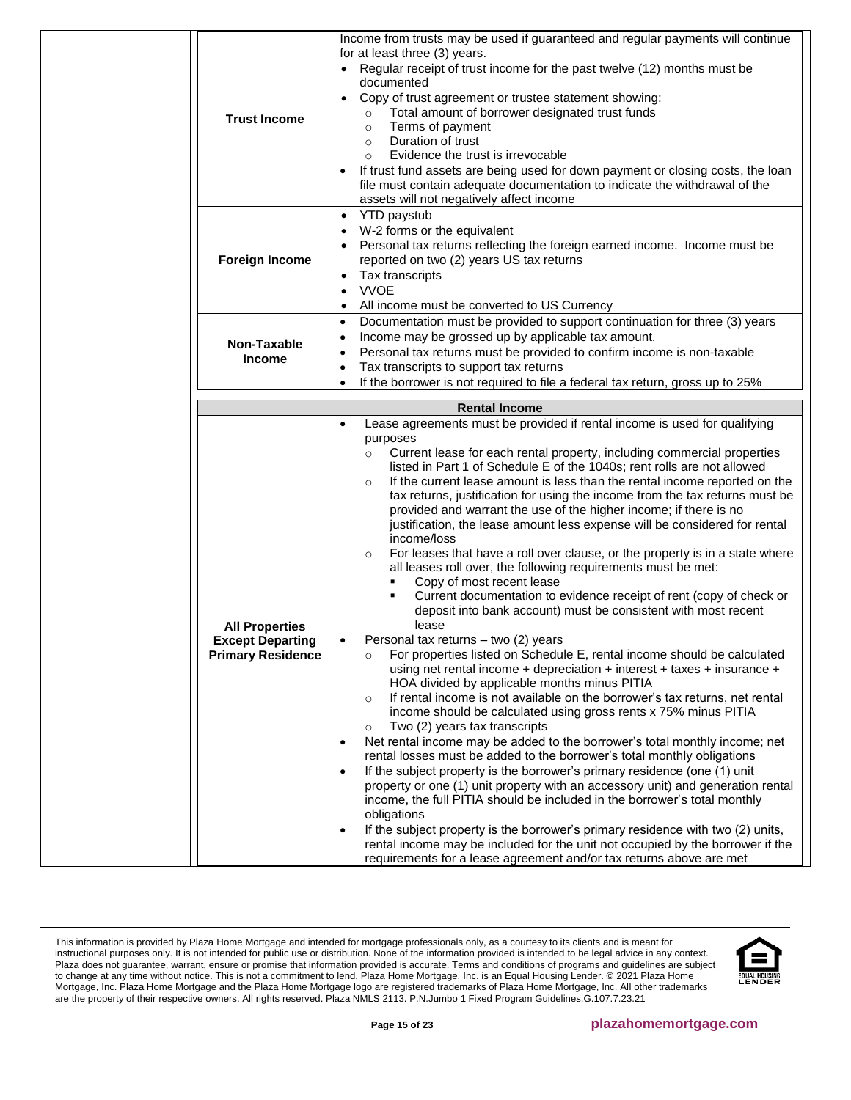| <b>Trust Income</b>                                                          | Income from trusts may be used if guaranteed and regular payments will continue<br>for at least three (3) years.<br>Regular receipt of trust income for the past twelve (12) months must be<br>documented<br>Copy of trust agreement or trustee statement showing:<br>Total amount of borrower designated trust funds<br>$\circ$<br>Terms of payment<br>$\circ$<br>Duration of trust<br>$\circ$<br>Evidence the trust is irrevocable<br>$\circ$<br>If trust fund assets are being used for down payment or closing costs, the loan<br>file must contain adequate documentation to indicate the withdrawal of the<br>assets will not negatively affect income                                                                                                                                                                                                                                                                                                                                                                                                                                                                                                                                                                                                                                                                                                                                                                                                                                                                                                                                                                                                                                                                                                                                                                                                                                                                                                                                                                                                                                                                                                       |  |
|------------------------------------------------------------------------------|--------------------------------------------------------------------------------------------------------------------------------------------------------------------------------------------------------------------------------------------------------------------------------------------------------------------------------------------------------------------------------------------------------------------------------------------------------------------------------------------------------------------------------------------------------------------------------------------------------------------------------------------------------------------------------------------------------------------------------------------------------------------------------------------------------------------------------------------------------------------------------------------------------------------------------------------------------------------------------------------------------------------------------------------------------------------------------------------------------------------------------------------------------------------------------------------------------------------------------------------------------------------------------------------------------------------------------------------------------------------------------------------------------------------------------------------------------------------------------------------------------------------------------------------------------------------------------------------------------------------------------------------------------------------------------------------------------------------------------------------------------------------------------------------------------------------------------------------------------------------------------------------------------------------------------------------------------------------------------------------------------------------------------------------------------------------------------------------------------------------------------------------------------------------|--|
| <b>Foreign Income</b>                                                        | <b>YTD</b> paystub<br>$\bullet$<br>W-2 forms or the equivalent<br>Personal tax returns reflecting the foreign earned income. Income must be<br>reported on two (2) years US tax returns<br>Tax transcripts<br>$\bullet$<br><b>VVOE</b><br>$\bullet$<br>All income must be converted to US Currency<br>٠                                                                                                                                                                                                                                                                                                                                                                                                                                                                                                                                                                                                                                                                                                                                                                                                                                                                                                                                                                                                                                                                                                                                                                                                                                                                                                                                                                                                                                                                                                                                                                                                                                                                                                                                                                                                                                                            |  |
| Non-Taxable<br><b>Income</b>                                                 | Documentation must be provided to support continuation for three (3) years<br>$\bullet$<br>Income may be grossed up by applicable tax amount.<br>٠<br>Personal tax returns must be provided to confirm income is non-taxable<br>٠<br>Tax transcripts to support tax returns<br>٠<br>If the borrower is not required to file a federal tax return, gross up to 25%<br>$\bullet$                                                                                                                                                                                                                                                                                                                                                                                                                                                                                                                                                                                                                                                                                                                                                                                                                                                                                                                                                                                                                                                                                                                                                                                                                                                                                                                                                                                                                                                                                                                                                                                                                                                                                                                                                                                     |  |
|                                                                              |                                                                                                                                                                                                                                                                                                                                                                                                                                                                                                                                                                                                                                                                                                                                                                                                                                                                                                                                                                                                                                                                                                                                                                                                                                                                                                                                                                                                                                                                                                                                                                                                                                                                                                                                                                                                                                                                                                                                                                                                                                                                                                                                                                    |  |
| <b>All Properties</b><br><b>Except Departing</b><br><b>Primary Residence</b> | <b>Rental Income</b><br>Lease agreements must be provided if rental income is used for qualifying<br>$\bullet$<br>purposes<br>Current lease for each rental property, including commercial properties<br>$\circ$<br>listed in Part 1 of Schedule E of the 1040s; rent rolls are not allowed<br>If the current lease amount is less than the rental income reported on the<br>$\circ$<br>tax returns, justification for using the income from the tax returns must be<br>provided and warrant the use of the higher income; if there is no<br>justification, the lease amount less expense will be considered for rental<br>income/loss<br>For leases that have a roll over clause, or the property is in a state where<br>$\circ$<br>all leases roll over, the following requirements must be met:<br>Copy of most recent lease<br>٠<br>Current documentation to evidence receipt of rent (copy of check or<br>deposit into bank account) must be consistent with most recent<br>lease<br>Personal tax returns - two (2) years<br>$\bullet$<br>For properties listed on Schedule E, rental income should be calculated<br>using net rental income + depreciation + interest + taxes + insurance +<br>HOA divided by applicable months minus PITIA<br>If rental income is not available on the borrower's tax returns, net rental<br>$\circ$<br>income should be calculated using gross rents x 75% minus PITIA<br>Two (2) years tax transcripts<br>$\circ$<br>Net rental income may be added to the borrower's total monthly income; net<br>$\bullet$<br>rental losses must be added to the borrower's total monthly obligations<br>If the subject property is the borrower's primary residence (one (1) unit<br>$\bullet$<br>property or one (1) unit property with an accessory unit) and generation rental<br>income, the full PITIA should be included in the borrower's total monthly<br>obligations<br>If the subject property is the borrower's primary residence with two (2) units,<br>$\bullet$<br>rental income may be included for the unit not occupied by the borrower if the<br>requirements for a lease agreement and/or tax returns above are met |  |

This information is provided by Plaza Home Mortgage and intended for mortgage professionals only, as a courtesy to its clients and is meant for instructional purposes only. It is not intended for public use or distribution. None of the information provided is intended to be legal advice in any context. Plaza does not guarantee, warrant, ensure or promise that information provided is accurate. Terms and conditions of programs and guidelines are subject to change at any time without notice. This is not a commitment to lend. Plaza Home Mortgage, Inc. is an Equal Housing Lender. © 2021 Plaza Home Mortgage, Inc. Plaza Home Mortgage and the Plaza Home Mortgage logo are registered trademarks of Plaza Home Mortgage, Inc. All other trademarks are the property of their respective owners. All rights reserved. Plaza NMLS 2113. P.N.Jumbo 1 Fixed Program Guidelines.G.107.7.23.21

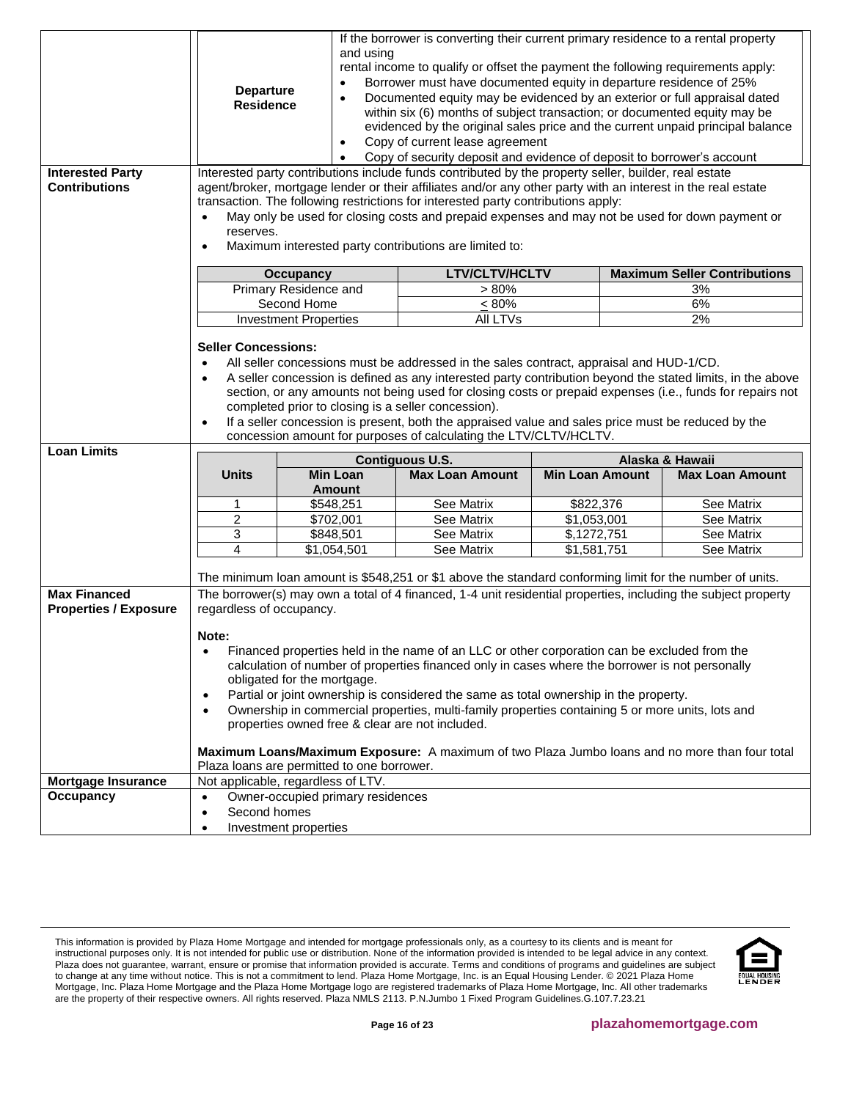| <b>Interested Party</b><br><b>Contributions</b>     | If the borrower is converting their current primary residence to a rental property<br>and using<br>rental income to qualify or offset the payment the following requirements apply:<br>Borrower must have documented equity in departure residence of 25%<br>$\bullet$<br><b>Departure</b><br>Documented equity may be evidenced by an exterior or full appraisal dated<br>$\bullet$<br><b>Residence</b><br>within six (6) months of subject transaction; or documented equity may be<br>evidenced by the original sales price and the current unpaid principal balance<br>Copy of current lease agreement<br>$\bullet$<br>Copy of security deposit and evidence of deposit to borrower's account<br>$\bullet$<br>Interested party contributions include funds contributed by the property seller, builder, real estate<br>agent/broker, mortgage lender or their affiliates and/or any other party with an interest in the real estate<br>transaction. The following restrictions for interested party contributions apply:<br>May only be used for closing costs and prepaid expenses and may not be used for down payment or<br>$\bullet$<br>reserves.<br>Maximum interested party contributions are limited to:<br>$\bullet$ |                                           |                        |                        |                                     |
|-----------------------------------------------------|----------------------------------------------------------------------------------------------------------------------------------------------------------------------------------------------------------------------------------------------------------------------------------------------------------------------------------------------------------------------------------------------------------------------------------------------------------------------------------------------------------------------------------------------------------------------------------------------------------------------------------------------------------------------------------------------------------------------------------------------------------------------------------------------------------------------------------------------------------------------------------------------------------------------------------------------------------------------------------------------------------------------------------------------------------------------------------------------------------------------------------------------------------------------------------------------------------------------------------|-------------------------------------------|------------------------|------------------------|-------------------------------------|
|                                                     |                                                                                                                                                                                                                                                                                                                                                                                                                                                                                                                                                                                                                                                                                                                                                                                                                                                                                                                                                                                                                                                                                                                                                                                                                                  |                                           | <b>LTV/CLTV/HCLTV</b>  |                        | <b>Maximum Seller Contributions</b> |
|                                                     |                                                                                                                                                                                                                                                                                                                                                                                                                                                                                                                                                                                                                                                                                                                                                                                                                                                                                                                                                                                                                                                                                                                                                                                                                                  | <b>Occupancy</b><br>Primary Residence and | $> 80\%$               |                        | 3%                                  |
|                                                     |                                                                                                                                                                                                                                                                                                                                                                                                                                                                                                                                                                                                                                                                                                                                                                                                                                                                                                                                                                                                                                                                                                                                                                                                                                  | Second Home                               | $\leq 80\%$            |                        | $6\%$                               |
|                                                     |                                                                                                                                                                                                                                                                                                                                                                                                                                                                                                                                                                                                                                                                                                                                                                                                                                                                                                                                                                                                                                                                                                                                                                                                                                  | <b>Investment Properties</b>              | All LTVs               |                        | 2%                                  |
| <b>Loan Limits</b>                                  | <b>Seller Concessions:</b><br>All seller concessions must be addressed in the sales contract, appraisal and HUD-1/CD.<br>$\bullet$<br>A seller concession is defined as any interested party contribution beyond the stated limits, in the above<br>$\bullet$<br>section, or any amounts not being used for closing costs or prepaid expenses (i.e., funds for repairs not<br>completed prior to closing is a seller concession).<br>If a seller concession is present, both the appraised value and sales price must be reduced by the<br>$\bullet$<br>concession amount for purposes of calculating the LTV/CLTV/HCLTV.                                                                                                                                                                                                                                                                                                                                                                                                                                                                                                                                                                                                        |                                           |                        |                        |                                     |
|                                                     |                                                                                                                                                                                                                                                                                                                                                                                                                                                                                                                                                                                                                                                                                                                                                                                                                                                                                                                                                                                                                                                                                                                                                                                                                                  |                                           | <b>Contiguous U.S.</b> |                        | Alaska & Hawaii                     |
|                                                     | <b>Units</b>                                                                                                                                                                                                                                                                                                                                                                                                                                                                                                                                                                                                                                                                                                                                                                                                                                                                                                                                                                                                                                                                                                                                                                                                                     | <b>Min Loan</b><br><b>Amount</b>          | <b>Max Loan Amount</b> | <b>Min Loan Amount</b> | <b>Max Loan Amount</b>              |
|                                                     | 1                                                                                                                                                                                                                                                                                                                                                                                                                                                                                                                                                                                                                                                                                                                                                                                                                                                                                                                                                                                                                                                                                                                                                                                                                                | \$548,251                                 | See Matrix             | \$822,376              | See Matrix                          |
|                                                     | $\overline{c}$                                                                                                                                                                                                                                                                                                                                                                                                                                                                                                                                                                                                                                                                                                                                                                                                                                                                                                                                                                                                                                                                                                                                                                                                                   | \$702,001                                 | See Matrix             | \$1,053,001            | See Matrix                          |
|                                                     | 3                                                                                                                                                                                                                                                                                                                                                                                                                                                                                                                                                                                                                                                                                                                                                                                                                                                                                                                                                                                                                                                                                                                                                                                                                                | \$848,501                                 | See Matrix             | \$,1272,751            | See Matrix                          |
|                                                     | 4                                                                                                                                                                                                                                                                                                                                                                                                                                                                                                                                                                                                                                                                                                                                                                                                                                                                                                                                                                                                                                                                                                                                                                                                                                | \$1,054,501                               | See Matrix             | \$1,581,751            | See Matrix                          |
|                                                     | The minimum loan amount is \$548,251 or \$1 above the standard conforming limit for the number of units.                                                                                                                                                                                                                                                                                                                                                                                                                                                                                                                                                                                                                                                                                                                                                                                                                                                                                                                                                                                                                                                                                                                         |                                           |                        |                        |                                     |
| <b>Max Financed</b><br><b>Properties / Exposure</b> | The borrower(s) may own a total of 4 financed, 1-4 unit residential properties, including the subject property<br>regardless of occupancy.                                                                                                                                                                                                                                                                                                                                                                                                                                                                                                                                                                                                                                                                                                                                                                                                                                                                                                                                                                                                                                                                                       |                                           |                        |                        |                                     |
|                                                     | Note:<br>Financed properties held in the name of an LLC or other corporation can be excluded from the<br>calculation of number of properties financed only in cases where the borrower is not personally<br>obligated for the mortgage.<br>Partial or joint ownership is considered the same as total ownership in the property.<br>$\bullet$<br>Ownership in commercial properties, multi-family properties containing 5 or more units, lots and<br>$\bullet$<br>properties owned free & clear are not included.<br>Maximum Loans/Maximum Exposure: A maximum of two Plaza Jumbo loans and no more than four total<br>Plaza loans are permitted to one borrower.                                                                                                                                                                                                                                                                                                                                                                                                                                                                                                                                                                |                                           |                        |                        |                                     |
| <b>Mortgage Insurance</b>                           |                                                                                                                                                                                                                                                                                                                                                                                                                                                                                                                                                                                                                                                                                                                                                                                                                                                                                                                                                                                                                                                                                                                                                                                                                                  | Not applicable, regardless of LTV.        |                        |                        |                                     |
| Occupancy                                           | Owner-occupied primary residences<br>$\bullet$                                                                                                                                                                                                                                                                                                                                                                                                                                                                                                                                                                                                                                                                                                                                                                                                                                                                                                                                                                                                                                                                                                                                                                                   |                                           |                        |                        |                                     |
|                                                     | Second homes<br>$\bullet$                                                                                                                                                                                                                                                                                                                                                                                                                                                                                                                                                                                                                                                                                                                                                                                                                                                                                                                                                                                                                                                                                                                                                                                                        |                                           |                        |                        |                                     |

This information is provided by Plaza Home Mortgage and intended for mortgage professionals only, as a courtesy to its clients and is meant for instructional purposes only. It is not intended for public use or distribution. None of the information provided is intended to be legal advice in any context. Plaza does not guarantee, warrant, ensure or promise that information provided is accurate. Terms and conditions of programs and guidelines are subject to change at any time without notice. This is not a commitment to lend. Plaza Home Mortgage, Inc. is an Equal Housing Lender. © 2021 Plaza Home Mortgage, Inc. Plaza Home Mortgage and the Plaza Home Mortgage logo are registered trademarks of Plaza Home Mortgage, Inc. All other trademarks are the property of their respective owners. All rights reserved. Plaza NMLS 2113. P.N.Jumbo 1 Fixed Program Guidelines.G.107.7.23.21

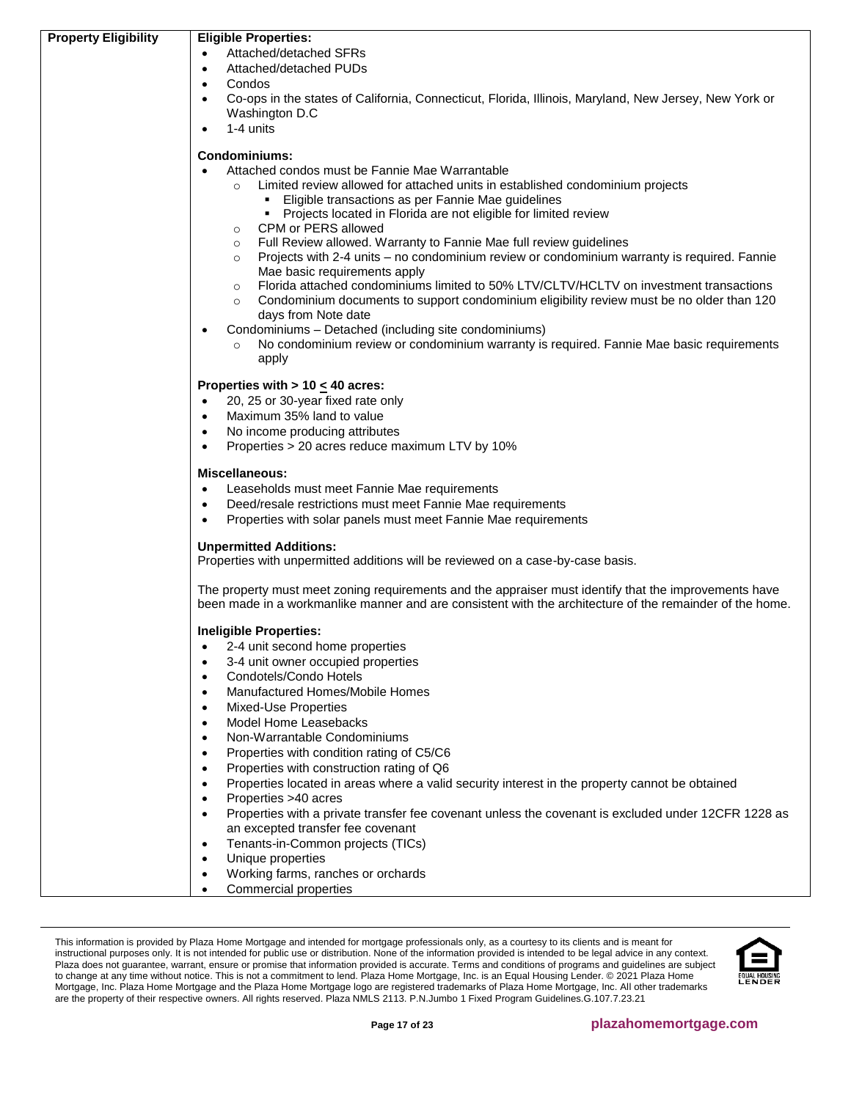| <b>Property Eligibility</b> | <b>Eligible Properties:</b>                                                                                                                                                                                       |  |  |
|-----------------------------|-------------------------------------------------------------------------------------------------------------------------------------------------------------------------------------------------------------------|--|--|
|                             | Attached/detached SFRs                                                                                                                                                                                            |  |  |
|                             | Attached/detached PUDs<br>$\bullet$                                                                                                                                                                               |  |  |
|                             | Condos<br>$\bullet$                                                                                                                                                                                               |  |  |
|                             | Co-ops in the states of California, Connecticut, Florida, Illinois, Maryland, New Jersey, New York or<br>$\bullet$                                                                                                |  |  |
|                             | Washington D.C                                                                                                                                                                                                    |  |  |
|                             | 1-4 units                                                                                                                                                                                                         |  |  |
|                             |                                                                                                                                                                                                                   |  |  |
|                             | Condominiums:                                                                                                                                                                                                     |  |  |
|                             | Attached condos must be Fannie Mae Warrantable                                                                                                                                                                    |  |  |
|                             | Limited review allowed for attached units in established condominium projects                                                                                                                                     |  |  |
|                             | • Eligible transactions as per Fannie Mae guidelines                                                                                                                                                              |  |  |
|                             | • Projects located in Florida are not eligible for limited review                                                                                                                                                 |  |  |
|                             | CPM or PERS allowed<br>$\circ$                                                                                                                                                                                    |  |  |
|                             | Full Review allowed. Warranty to Fannie Mae full review guidelines<br>$\circ$                                                                                                                                     |  |  |
|                             | Projects with 2-4 units - no condominium review or condominium warranty is required. Fannie<br>$\circ$                                                                                                            |  |  |
|                             | Mae basic requirements apply                                                                                                                                                                                      |  |  |
|                             | Florida attached condominiums limited to 50% LTV/CLTV/HCLTV on investment transactions<br>$\circ$                                                                                                                 |  |  |
|                             | Condominium documents to support condominium eligibility review must be no older than 120<br>$\circ$                                                                                                              |  |  |
|                             | days from Note date                                                                                                                                                                                               |  |  |
|                             | Condominiums - Detached (including site condominiums)                                                                                                                                                             |  |  |
|                             | No condominium review or condominium warranty is required. Fannie Mae basic requirements                                                                                                                          |  |  |
|                             | apply                                                                                                                                                                                                             |  |  |
|                             | Properties with $> 10 \leq 40$ acres:                                                                                                                                                                             |  |  |
|                             | 20, 25 or 30-year fixed rate only<br>$\bullet$                                                                                                                                                                    |  |  |
|                             | Maximum 35% land to value<br>$\bullet$                                                                                                                                                                            |  |  |
|                             | No income producing attributes<br>$\bullet$                                                                                                                                                                       |  |  |
|                             | Properties > 20 acres reduce maximum LTV by 10%<br>$\bullet$                                                                                                                                                      |  |  |
|                             |                                                                                                                                                                                                                   |  |  |
|                             | <b>Miscellaneous:</b>                                                                                                                                                                                             |  |  |
|                             | Leaseholds must meet Fannie Mae requirements<br>$\bullet$                                                                                                                                                         |  |  |
|                             | Deed/resale restrictions must meet Fannie Mae requirements<br>$\bullet$                                                                                                                                           |  |  |
|                             | Properties with solar panels must meet Fannie Mae requirements<br>$\bullet$                                                                                                                                       |  |  |
|                             |                                                                                                                                                                                                                   |  |  |
|                             | <b>Unpermitted Additions:</b><br>Properties with unpermitted additions will be reviewed on a case-by-case basis.                                                                                                  |  |  |
|                             |                                                                                                                                                                                                                   |  |  |
|                             | The property must meet zoning requirements and the appraiser must identify that the improvements have<br>been made in a workmanlike manner and are consistent with the architecture of the remainder of the home. |  |  |
|                             |                                                                                                                                                                                                                   |  |  |
|                             | <b>Ineligible Properties:</b>                                                                                                                                                                                     |  |  |
|                             | 2-4 unit second home properties<br>$\bullet$                                                                                                                                                                      |  |  |
|                             | 3-4 unit owner occupied properties<br>$\bullet$                                                                                                                                                                   |  |  |
|                             | Condotels/Condo Hotels<br>$\bullet$                                                                                                                                                                               |  |  |
|                             | Manufactured Homes/Mobile Homes<br>$\bullet$                                                                                                                                                                      |  |  |
|                             | Mixed-Use Properties<br>$\bullet$                                                                                                                                                                                 |  |  |
|                             | Model Home Leasebacks<br>$\bullet$                                                                                                                                                                                |  |  |
|                             | Non-Warrantable Condominiums<br>$\bullet$                                                                                                                                                                         |  |  |
|                             | Properties with condition rating of C5/C6<br>$\bullet$                                                                                                                                                            |  |  |
|                             | Properties with construction rating of Q6<br>$\bullet$                                                                                                                                                            |  |  |
|                             | Properties located in areas where a valid security interest in the property cannot be obtained<br>$\bullet$                                                                                                       |  |  |
|                             | Properties >40 acres<br>$\bullet$                                                                                                                                                                                 |  |  |
|                             | Properties with a private transfer fee covenant unless the covenant is excluded under 12CFR 1228 as<br>$\bullet$                                                                                                  |  |  |
|                             | an excepted transfer fee covenant                                                                                                                                                                                 |  |  |
|                             | Tenants-in-Common projects (TICs)                                                                                                                                                                                 |  |  |
|                             | Unique properties<br>$\bullet$                                                                                                                                                                                    |  |  |
|                             | Working farms, ranches or orchards<br>$\bullet$                                                                                                                                                                   |  |  |
|                             | Commercial properties<br>٠                                                                                                                                                                                        |  |  |

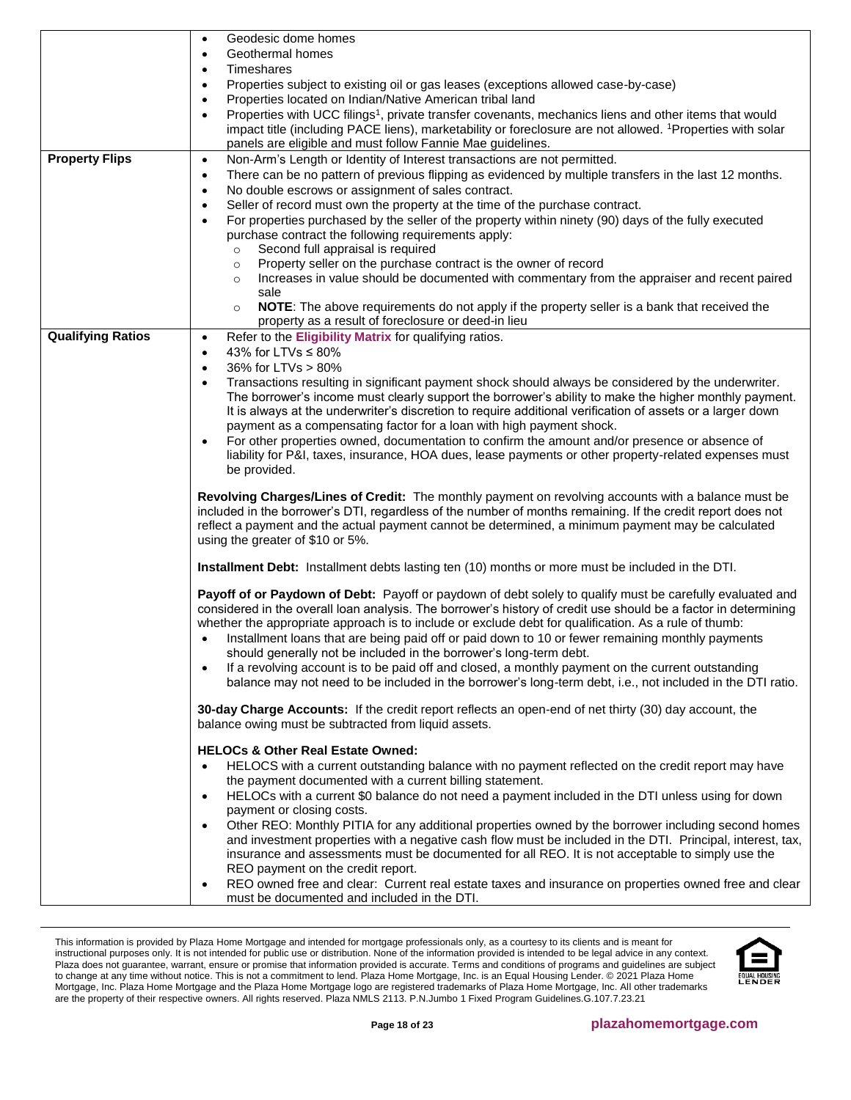|                          | Geodesic dome homes<br>$\bullet$                                                                                                                                                                                                                                                                                                                                                                                                                                                                                                                                                                                                                                                                                                                                                                                                                                  |
|--------------------------|-------------------------------------------------------------------------------------------------------------------------------------------------------------------------------------------------------------------------------------------------------------------------------------------------------------------------------------------------------------------------------------------------------------------------------------------------------------------------------------------------------------------------------------------------------------------------------------------------------------------------------------------------------------------------------------------------------------------------------------------------------------------------------------------------------------------------------------------------------------------|
|                          | Geothermal homes<br>$\bullet$<br>Timeshares<br>$\bullet$                                                                                                                                                                                                                                                                                                                                                                                                                                                                                                                                                                                                                                                                                                                                                                                                          |
|                          | Properties subject to existing oil or gas leases (exceptions allowed case-by-case)<br>$\bullet$                                                                                                                                                                                                                                                                                                                                                                                                                                                                                                                                                                                                                                                                                                                                                                   |
|                          | Properties located on Indian/Native American tribal land<br>$\bullet$                                                                                                                                                                                                                                                                                                                                                                                                                                                                                                                                                                                                                                                                                                                                                                                             |
|                          | Properties with UCC filings <sup>1</sup> , private transfer covenants, mechanics liens and other items that would<br>$\bullet$<br>impact title (including PACE liens), marketability or foreclosure are not allowed. <sup>1</sup> Properties with solar                                                                                                                                                                                                                                                                                                                                                                                                                                                                                                                                                                                                           |
|                          | panels are eligible and must follow Fannie Mae guidelines.                                                                                                                                                                                                                                                                                                                                                                                                                                                                                                                                                                                                                                                                                                                                                                                                        |
| <b>Property Flips</b>    | Non-Arm's Length or Identity of Interest transactions are not permitted.<br>$\bullet$                                                                                                                                                                                                                                                                                                                                                                                                                                                                                                                                                                                                                                                                                                                                                                             |
|                          | There can be no pattern of previous flipping as evidenced by multiple transfers in the last 12 months.<br>$\bullet$                                                                                                                                                                                                                                                                                                                                                                                                                                                                                                                                                                                                                                                                                                                                               |
|                          | No double escrows or assignment of sales contract.<br>$\bullet$                                                                                                                                                                                                                                                                                                                                                                                                                                                                                                                                                                                                                                                                                                                                                                                                   |
|                          | Seller of record must own the property at the time of the purchase contract.<br>$\bullet$<br>For properties purchased by the seller of the property within ninety (90) days of the fully executed<br>$\bullet$                                                                                                                                                                                                                                                                                                                                                                                                                                                                                                                                                                                                                                                    |
|                          | purchase contract the following requirements apply:                                                                                                                                                                                                                                                                                                                                                                                                                                                                                                                                                                                                                                                                                                                                                                                                               |
|                          | Second full appraisal is required<br>$\circ$                                                                                                                                                                                                                                                                                                                                                                                                                                                                                                                                                                                                                                                                                                                                                                                                                      |
|                          | Property seller on the purchase contract is the owner of record<br>$\circ$                                                                                                                                                                                                                                                                                                                                                                                                                                                                                                                                                                                                                                                                                                                                                                                        |
|                          | Increases in value should be documented with commentary from the appraiser and recent paired<br>$\circ$<br>sale                                                                                                                                                                                                                                                                                                                                                                                                                                                                                                                                                                                                                                                                                                                                                   |
|                          | NOTE: The above requirements do not apply if the property seller is a bank that received the<br>$\circ$                                                                                                                                                                                                                                                                                                                                                                                                                                                                                                                                                                                                                                                                                                                                                           |
|                          | property as a result of foreclosure or deed-in lieu                                                                                                                                                                                                                                                                                                                                                                                                                                                                                                                                                                                                                                                                                                                                                                                                               |
| <b>Qualifying Ratios</b> | Refer to the Eligibility Matrix for qualifying ratios.<br>$\bullet$<br>43% for LTVs $\leq$ 80%<br>$\bullet$                                                                                                                                                                                                                                                                                                                                                                                                                                                                                                                                                                                                                                                                                                                                                       |
|                          | 36% for LTVs > 80%<br>$\bullet$                                                                                                                                                                                                                                                                                                                                                                                                                                                                                                                                                                                                                                                                                                                                                                                                                                   |
|                          | Transactions resulting in significant payment shock should always be considered by the underwriter.<br>$\bullet$                                                                                                                                                                                                                                                                                                                                                                                                                                                                                                                                                                                                                                                                                                                                                  |
|                          | The borrower's income must clearly support the borrower's ability to make the higher monthly payment.                                                                                                                                                                                                                                                                                                                                                                                                                                                                                                                                                                                                                                                                                                                                                             |
|                          | It is always at the underwriter's discretion to require additional verification of assets or a larger down<br>payment as a compensating factor for a loan with high payment shock.                                                                                                                                                                                                                                                                                                                                                                                                                                                                                                                                                                                                                                                                                |
|                          | For other properties owned, documentation to confirm the amount and/or presence or absence of<br>$\bullet$                                                                                                                                                                                                                                                                                                                                                                                                                                                                                                                                                                                                                                                                                                                                                        |
|                          | liability for P&I, taxes, insurance, HOA dues, lease payments or other property-related expenses must                                                                                                                                                                                                                                                                                                                                                                                                                                                                                                                                                                                                                                                                                                                                                             |
|                          | be provided.                                                                                                                                                                                                                                                                                                                                                                                                                                                                                                                                                                                                                                                                                                                                                                                                                                                      |
|                          | Revolving Charges/Lines of Credit: The monthly payment on revolving accounts with a balance must be<br>included in the borrower's DTI, regardless of the number of months remaining. If the credit report does not<br>reflect a payment and the actual payment cannot be determined, a minimum payment may be calculated<br>using the greater of \$10 or 5%.                                                                                                                                                                                                                                                                                                                                                                                                                                                                                                      |
|                          | Installment Debt: Installment debts lasting ten (10) months or more must be included in the DTI.                                                                                                                                                                                                                                                                                                                                                                                                                                                                                                                                                                                                                                                                                                                                                                  |
|                          | Payoff of or Paydown of Debt: Payoff or paydown of debt solely to qualify must be carefully evaluated and<br>considered in the overall loan analysis. The borrower's history of credit use should be a factor in determining<br>whether the appropriate approach is to include or exclude debt for qualification. As a rule of thumb:<br>Installment loans that are being paid off or paid down to 10 or fewer remaining monthly payments<br>should generally not be included in the borrower's long-term debt.<br>If a revolving account is to be paid off and closed, a monthly payment on the current outstanding<br>$\bullet$<br>balance may not need to be included in the borrower's long-term debt, i.e., not included in the DTI ratio.                                                                                                                   |
|                          | 30-day Charge Accounts: If the credit report reflects an open-end of net thirty (30) day account, the<br>balance owing must be subtracted from liquid assets.                                                                                                                                                                                                                                                                                                                                                                                                                                                                                                                                                                                                                                                                                                     |
|                          | <b>HELOCs &amp; Other Real Estate Owned:</b><br>HELOCS with a current outstanding balance with no payment reflected on the credit report may have<br>$\bullet$<br>the payment documented with a current billing statement.<br>HELOCs with a current \$0 balance do not need a payment included in the DTI unless using for down<br>$\bullet$<br>payment or closing costs.<br>Other REO: Monthly PITIA for any additional properties owned by the borrower including second homes<br>$\bullet$<br>and investment properties with a negative cash flow must be included in the DTI. Principal, interest, tax,<br>insurance and assessments must be documented for all REO. It is not acceptable to simply use the<br>REO payment on the credit report.<br>REO owned free and clear: Current real estate taxes and insurance on properties owned free and clear<br>٠ |
|                          | must be documented and included in the DTI.                                                                                                                                                                                                                                                                                                                                                                                                                                                                                                                                                                                                                                                                                                                                                                                                                       |

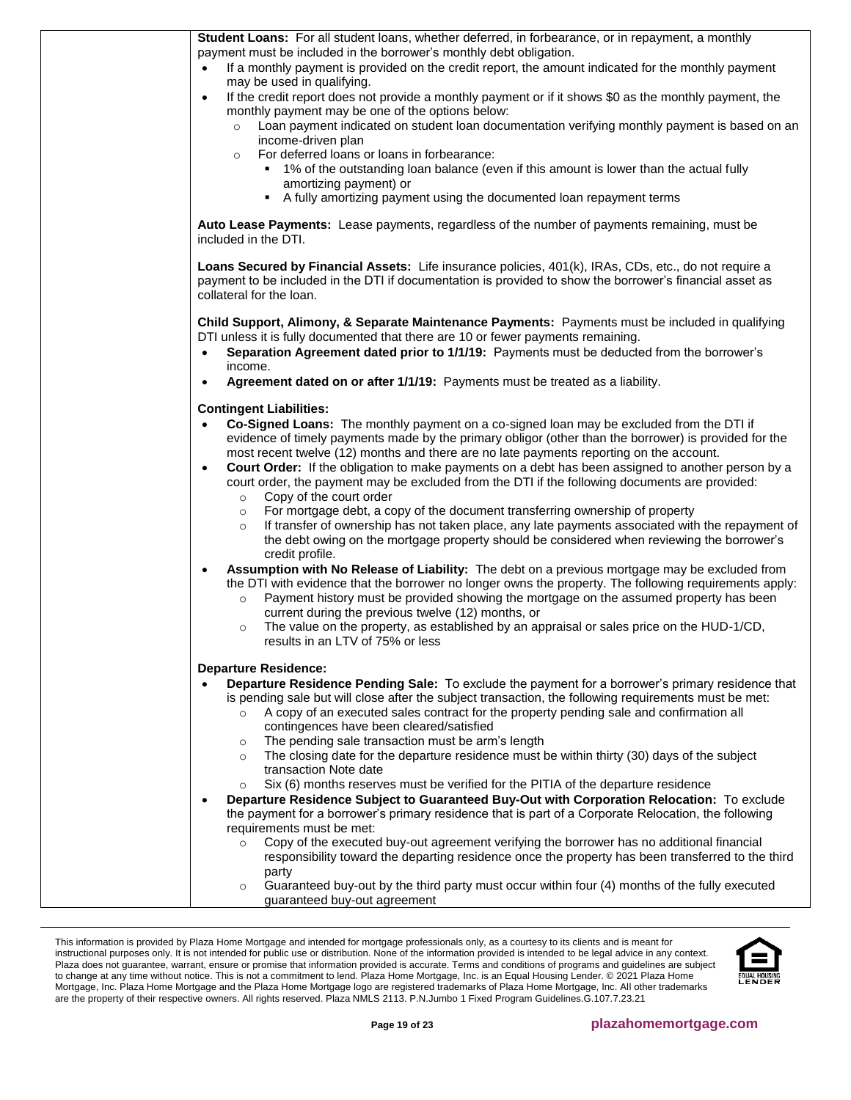| Student Loans: For all student loans, whether deferred, in forbearance, or in repayment, a monthly<br>payment must be included in the borrower's monthly debt obligation.                                                                                                                                                 |
|---------------------------------------------------------------------------------------------------------------------------------------------------------------------------------------------------------------------------------------------------------------------------------------------------------------------------|
| If a monthly payment is provided on the credit report, the amount indicated for the monthly payment<br>$\bullet$<br>may be used in qualifying.                                                                                                                                                                            |
| If the credit report does not provide a monthly payment or if it shows \$0 as the monthly payment, the<br>monthly payment may be one of the options below:                                                                                                                                                                |
| Loan payment indicated on student loan documentation verifying monthly payment is based on an<br>$\circ$<br>income-driven plan                                                                                                                                                                                            |
| For deferred loans or loans in forbearance:<br>$\circ$                                                                                                                                                                                                                                                                    |
| • 1% of the outstanding loan balance (even if this amount is lower than the actual fully                                                                                                                                                                                                                                  |
| amortizing payment) or<br>A fully amortizing payment using the documented loan repayment terms                                                                                                                                                                                                                            |
|                                                                                                                                                                                                                                                                                                                           |
| Auto Lease Payments: Lease payments, regardless of the number of payments remaining, must be<br>included in the DTI.                                                                                                                                                                                                      |
| Loans Secured by Financial Assets: Life insurance policies, 401(k), IRAs, CDs, etc., do not require a<br>payment to be included in the DTI if documentation is provided to show the borrower's financial asset as<br>collateral for the loan.                                                                             |
| Child Support, Alimony, & Separate Maintenance Payments: Payments must be included in qualifying                                                                                                                                                                                                                          |
| DTI unless it is fully documented that there are 10 or fewer payments remaining.                                                                                                                                                                                                                                          |
| Separation Agreement dated prior to 1/1/19: Payments must be deducted from the borrower's<br>$\bullet$<br>income.                                                                                                                                                                                                         |
| Agreement dated on or after 1/1/19: Payments must be treated as a liability.<br>$\bullet$                                                                                                                                                                                                                                 |
| <b>Contingent Liabilities:</b>                                                                                                                                                                                                                                                                                            |
| Co-Signed Loans: The monthly payment on a co-signed loan may be excluded from the DTI if<br>$\bullet$                                                                                                                                                                                                                     |
| evidence of timely payments made by the primary obligor (other than the borrower) is provided for the<br>most recent twelve (12) months and there are no late payments reporting on the account.                                                                                                                          |
| Court Order: If the obligation to make payments on a debt has been assigned to another person by a<br>$\bullet$                                                                                                                                                                                                           |
| court order, the payment may be excluded from the DTI if the following documents are provided:<br>Copy of the court order<br>$\circ$                                                                                                                                                                                      |
| For mortgage debt, a copy of the document transferring ownership of property<br>$\circ$                                                                                                                                                                                                                                   |
| If transfer of ownership has not taken place, any late payments associated with the repayment of<br>$\circ$<br>the debt owing on the mortgage property should be considered when reviewing the borrower's                                                                                                                 |
| credit profile.                                                                                                                                                                                                                                                                                                           |
| Assumption with No Release of Liability: The debt on a previous mortgage may be excluded from<br>$\bullet$<br>the DTI with evidence that the borrower no longer owns the property. The following requirements apply:<br>Payment history must be provided showing the mortgage on the assumed property has been<br>$\circ$ |
| current during the previous twelve (12) months, or                                                                                                                                                                                                                                                                        |
| The value on the property, as established by an appraisal or sales price on the HUD-1/CD,<br>$\circ$<br>results in an LTV of 75% or less                                                                                                                                                                                  |
| <b>Departure Residence:</b>                                                                                                                                                                                                                                                                                               |
| Departure Residence Pending Sale: To exclude the payment for a borrower's primary residence that                                                                                                                                                                                                                          |
| is pending sale but will close after the subject transaction, the following requirements must be met:<br>A copy of an executed sales contract for the property pending sale and confirmation all<br>$\circ$                                                                                                               |
| contingences have been cleared/satisfied                                                                                                                                                                                                                                                                                  |
| The pending sale transaction must be arm's length<br>$\circ$                                                                                                                                                                                                                                                              |
| The closing date for the departure residence must be within thirty (30) days of the subject<br>$\circ$                                                                                                                                                                                                                    |
| transaction Note date<br>Six (6) months reserves must be verified for the PITIA of the departure residence<br>$\circ$                                                                                                                                                                                                     |
| Departure Residence Subject to Guaranteed Buy-Out with Corporation Relocation: To exclude                                                                                                                                                                                                                                 |
| the payment for a borrower's primary residence that is part of a Corporate Relocation, the following                                                                                                                                                                                                                      |
| requirements must be met:<br>Copy of the executed buy-out agreement verifying the borrower has no additional financial<br>$\circ$                                                                                                                                                                                         |
| responsibility toward the departing residence once the property has been transferred to the third                                                                                                                                                                                                                         |
| party                                                                                                                                                                                                                                                                                                                     |
| Guaranteed buy-out by the third party must occur within four (4) months of the fully executed<br>$\circ$<br>guaranteed buy-out agreement                                                                                                                                                                                  |
|                                                                                                                                                                                                                                                                                                                           |

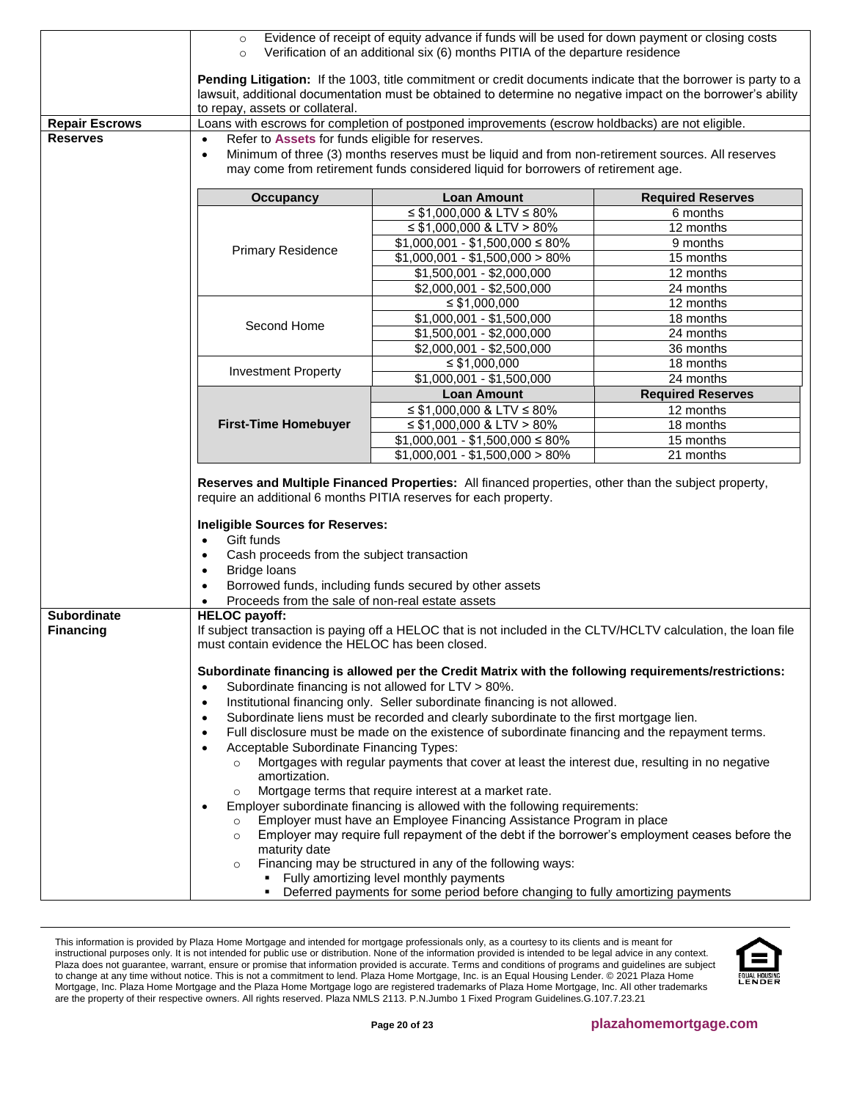<span id="page-19-0"></span>

|                                        | Evidence of receipt of equity advance if funds will be used for down payment or closing costs<br>$\circ$<br>Verification of an additional six (6) months PITIA of the departure residence<br>$\circ$                                                                 |                                                                                                                                                                                                                                                                                                                                                                                                                                                                                                                                                                                                                                                                                                                                                                                                                                                                                                                                                                                                                                                      |                          |  |
|----------------------------------------|----------------------------------------------------------------------------------------------------------------------------------------------------------------------------------------------------------------------------------------------------------------------|------------------------------------------------------------------------------------------------------------------------------------------------------------------------------------------------------------------------------------------------------------------------------------------------------------------------------------------------------------------------------------------------------------------------------------------------------------------------------------------------------------------------------------------------------------------------------------------------------------------------------------------------------------------------------------------------------------------------------------------------------------------------------------------------------------------------------------------------------------------------------------------------------------------------------------------------------------------------------------------------------------------------------------------------------|--------------------------|--|
|                                        | Pending Litigation: If the 1003, title commitment or credit documents indicate that the borrower is party to a<br>lawsuit, additional documentation must be obtained to determine no negative impact on the borrower's ability<br>to repay, assets or collateral.    |                                                                                                                                                                                                                                                                                                                                                                                                                                                                                                                                                                                                                                                                                                                                                                                                                                                                                                                                                                                                                                                      |                          |  |
| <b>Repair Escrows</b>                  |                                                                                                                                                                                                                                                                      | Loans with escrows for completion of postponed improvements (escrow holdbacks) are not eligible.                                                                                                                                                                                                                                                                                                                                                                                                                                                                                                                                                                                                                                                                                                                                                                                                                                                                                                                                                     |                          |  |
| <b>Reserves</b>                        | Refer to Assets for funds eligible for reserves.<br>$\bullet$<br>Minimum of three (3) months reserves must be liquid and from non-retirement sources. All reserves<br>$\bullet$<br>may come from retirement funds considered liquid for borrowers of retirement age. |                                                                                                                                                                                                                                                                                                                                                                                                                                                                                                                                                                                                                                                                                                                                                                                                                                                                                                                                                                                                                                                      |                          |  |
|                                        | <b>Occupancy</b>                                                                                                                                                                                                                                                     | <b>Loan Amount</b>                                                                                                                                                                                                                                                                                                                                                                                                                                                                                                                                                                                                                                                                                                                                                                                                                                                                                                                                                                                                                                   | <b>Required Reserves</b> |  |
|                                        |                                                                                                                                                                                                                                                                      | ≤ \$1,000,000 & LTV ≤ 80%                                                                                                                                                                                                                                                                                                                                                                                                                                                                                                                                                                                                                                                                                                                                                                                                                                                                                                                                                                                                                            | 6 months                 |  |
|                                        |                                                                                                                                                                                                                                                                      | $\leq$ \$1,000,000 & LTV > 80%                                                                                                                                                                                                                                                                                                                                                                                                                                                                                                                                                                                                                                                                                                                                                                                                                                                                                                                                                                                                                       | 12 months                |  |
|                                        | <b>Primary Residence</b>                                                                                                                                                                                                                                             | $$1,000,001 - $1,500,000 \le 80\%$                                                                                                                                                                                                                                                                                                                                                                                                                                                                                                                                                                                                                                                                                                                                                                                                                                                                                                                                                                                                                   | 9 months                 |  |
|                                        |                                                                                                                                                                                                                                                                      | $$1,000,001 - $1,500,000 > 80\%$                                                                                                                                                                                                                                                                                                                                                                                                                                                                                                                                                                                                                                                                                                                                                                                                                                                                                                                                                                                                                     | 15 months                |  |
|                                        |                                                                                                                                                                                                                                                                      | \$1,500,001 - \$2,000,000                                                                                                                                                                                                                                                                                                                                                                                                                                                                                                                                                                                                                                                                                                                                                                                                                                                                                                                                                                                                                            | 12 months                |  |
|                                        |                                                                                                                                                                                                                                                                      | $$2,000,001 - $2,500,000$                                                                                                                                                                                                                                                                                                                                                                                                                                                                                                                                                                                                                                                                                                                                                                                                                                                                                                                                                                                                                            | 24 months                |  |
|                                        |                                                                                                                                                                                                                                                                      | $\leq$ \$1,000,000                                                                                                                                                                                                                                                                                                                                                                                                                                                                                                                                                                                                                                                                                                                                                                                                                                                                                                                                                                                                                                   | 12 months                |  |
|                                        | Second Home                                                                                                                                                                                                                                                          | $$1,000,001 - $1,500,000$                                                                                                                                                                                                                                                                                                                                                                                                                                                                                                                                                                                                                                                                                                                                                                                                                                                                                                                                                                                                                            | 18 months                |  |
|                                        |                                                                                                                                                                                                                                                                      | $$1,500,001 - $2,000,000$                                                                                                                                                                                                                                                                                                                                                                                                                                                                                                                                                                                                                                                                                                                                                                                                                                                                                                                                                                                                                            | 24 months                |  |
|                                        |                                                                                                                                                                                                                                                                      | \$2,000,001 - \$2,500,000                                                                                                                                                                                                                                                                                                                                                                                                                                                                                                                                                                                                                                                                                                                                                                                                                                                                                                                                                                                                                            | 36 months                |  |
|                                        | <b>Investment Property</b>                                                                                                                                                                                                                                           | $\leq$ \$1,000,000<br>$$1,000,001 - $1,500,000$                                                                                                                                                                                                                                                                                                                                                                                                                                                                                                                                                                                                                                                                                                                                                                                                                                                                                                                                                                                                      | 18 months<br>24 months   |  |
|                                        |                                                                                                                                                                                                                                                                      |                                                                                                                                                                                                                                                                                                                                                                                                                                                                                                                                                                                                                                                                                                                                                                                                                                                                                                                                                                                                                                                      |                          |  |
|                                        |                                                                                                                                                                                                                                                                      | <b>Loan Amount</b>                                                                                                                                                                                                                                                                                                                                                                                                                                                                                                                                                                                                                                                                                                                                                                                                                                                                                                                                                                                                                                   | <b>Required Reserves</b> |  |
|                                        | <b>First-Time Homebuyer</b>                                                                                                                                                                                                                                          | ≤ \$1,000,000 & LTV ≤ 80%<br>$\leq$ \$1,000,000 & LTV > 80%                                                                                                                                                                                                                                                                                                                                                                                                                                                                                                                                                                                                                                                                                                                                                                                                                                                                                                                                                                                          | 12 months<br>18 months   |  |
|                                        |                                                                                                                                                                                                                                                                      | $$1,000,001 - $1,500,000 \le 80\%$                                                                                                                                                                                                                                                                                                                                                                                                                                                                                                                                                                                                                                                                                                                                                                                                                                                                                                                                                                                                                   | 15 months                |  |
|                                        |                                                                                                                                                                                                                                                                      | $$1,000,001 - $1,500,000 > 80\%$                                                                                                                                                                                                                                                                                                                                                                                                                                                                                                                                                                                                                                                                                                                                                                                                                                                                                                                                                                                                                     | 21 months                |  |
|                                        | Ineligible Sources for Reserves:<br>Gift funds<br>$\bullet$<br>Cash proceeds from the subject transaction<br>$\bullet$<br><b>Bridge loans</b><br>$\bullet$<br>$\bullet$<br>Proceeds from the sale of non-real estate assets                                          | Reserves and Multiple Financed Properties: All financed properties, other than the subject property,<br>require an additional 6 months PITIA reserves for each property.<br>Borrowed funds, including funds secured by other assets                                                                                                                                                                                                                                                                                                                                                                                                                                                                                                                                                                                                                                                                                                                                                                                                                  |                          |  |
| <b>Subordinate</b><br><b>Financing</b> | <b>HELOC</b> payoff:<br>If subject transaction is paying off a HELOC that is not included in the CLTV/HCLTV calculation, the loan file<br>must contain evidence the HELOC has been closed.                                                                           |                                                                                                                                                                                                                                                                                                                                                                                                                                                                                                                                                                                                                                                                                                                                                                                                                                                                                                                                                                                                                                                      |                          |  |
|                                        | $\bullet$<br>$\bullet$<br>$\bullet$<br>٠<br>Acceptable Subordinate Financing Types:<br>$\circ$<br>amortization.<br>$\circ$<br>$\circ$<br>$\circ$<br>maturity date<br>$\circ$                                                                                         | Subordinate financing is allowed per the Credit Matrix with the following requirements/restrictions:<br>Subordinate financing is not allowed for LTV > 80%.<br>Institutional financing only. Seller subordinate financing is not allowed.<br>Subordinate liens must be recorded and clearly subordinate to the first mortgage lien.<br>Full disclosure must be made on the existence of subordinate financing and the repayment terms.<br>Mortgages with regular payments that cover at least the interest due, resulting in no negative<br>Mortgage terms that require interest at a market rate.<br>Employer subordinate financing is allowed with the following requirements:<br>Employer must have an Employee Financing Assistance Program in place<br>Employer may require full repayment of the debt if the borrower's employment ceases before the<br>Financing may be structured in any of the following ways:<br>Fully amortizing level monthly payments<br>Deferred payments for some period before changing to fully amortizing payments |                          |  |

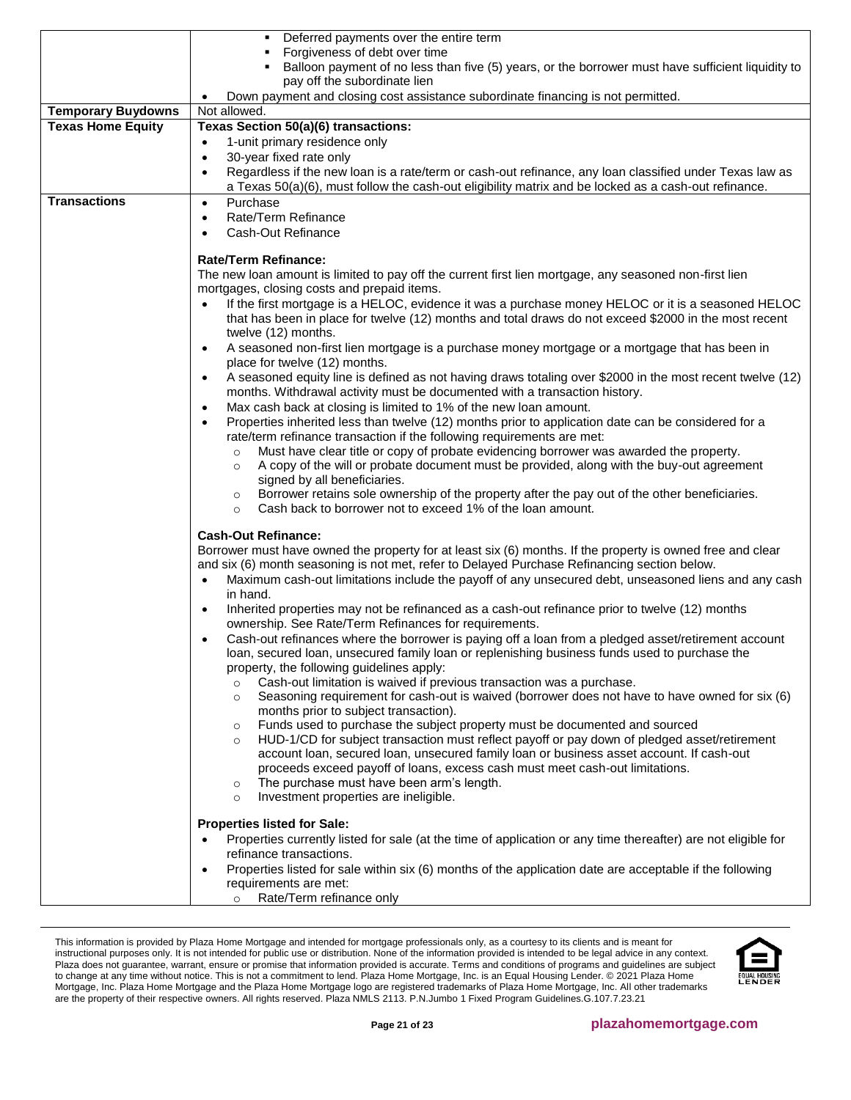|                                                       | Deferred payments over the entire term                                                                                                                                   |  |  |
|-------------------------------------------------------|--------------------------------------------------------------------------------------------------------------------------------------------------------------------------|--|--|
|                                                       | Forgiveness of debt over time                                                                                                                                            |  |  |
|                                                       | Balloon payment of no less than five (5) years, or the borrower must have sufficient liquidity to                                                                        |  |  |
|                                                       | pay off the subordinate lien                                                                                                                                             |  |  |
|                                                       | Down payment and closing cost assistance subordinate financing is not permitted.                                                                                         |  |  |
| <b>Temporary Buydowns</b><br><b>Texas Home Equity</b> | Not allowed.<br>Texas Section 50(a)(6) transactions:                                                                                                                     |  |  |
|                                                       | 1-unit primary residence only<br>$\bullet$                                                                                                                               |  |  |
|                                                       | 30-year fixed rate only<br>$\bullet$                                                                                                                                     |  |  |
|                                                       | Regardless if the new loan is a rate/term or cash-out refinance, any loan classified under Texas law as<br>$\bullet$                                                     |  |  |
|                                                       | a Texas 50(a)(6), must follow the cash-out eligibility matrix and be locked as a cash-out refinance.                                                                     |  |  |
| <b>Transactions</b>                                   | Purchase<br>$\bullet$                                                                                                                                                    |  |  |
|                                                       | Rate/Term Refinance<br>$\bullet$                                                                                                                                         |  |  |
|                                                       | Cash-Out Refinance                                                                                                                                                       |  |  |
|                                                       |                                                                                                                                                                          |  |  |
|                                                       | <b>Rate/Term Refinance:</b>                                                                                                                                              |  |  |
|                                                       | The new loan amount is limited to pay off the current first lien mortgage, any seasoned non-first lien                                                                   |  |  |
|                                                       | mortgages, closing costs and prepaid items.                                                                                                                              |  |  |
|                                                       | If the first mortgage is a HELOC, evidence it was a purchase money HELOC or it is a seasoned HELOC<br>$\bullet$                                                          |  |  |
|                                                       | that has been in place for twelve (12) months and total draws do not exceed \$2000 in the most recent<br>twelve (12) months.                                             |  |  |
|                                                       | A seasoned non-first lien mortgage is a purchase money mortgage or a mortgage that has been in<br>$\bullet$                                                              |  |  |
|                                                       | place for twelve (12) months.                                                                                                                                            |  |  |
|                                                       | A seasoned equity line is defined as not having draws totaling over \$2000 in the most recent twelve (12)<br>$\bullet$                                                   |  |  |
|                                                       | months. Withdrawal activity must be documented with a transaction history.                                                                                               |  |  |
|                                                       | Max cash back at closing is limited to 1% of the new loan amount.<br>$\bullet$                                                                                           |  |  |
|                                                       | Properties inherited less than twelve (12) months prior to application date can be considered for a<br>$\bullet$                                                         |  |  |
|                                                       | rate/term refinance transaction if the following requirements are met:                                                                                                   |  |  |
|                                                       | Must have clear title or copy of probate evidencing borrower was awarded the property.<br>$\circ$                                                                        |  |  |
|                                                       | A copy of the will or probate document must be provided, along with the buy-out agreement<br>$\circ$                                                                     |  |  |
|                                                       | signed by all beneficiaries.<br>Borrower retains sole ownership of the property after the pay out of the other beneficiaries.                                            |  |  |
|                                                       | $\circ$<br>Cash back to borrower not to exceed 1% of the loan amount.<br>$\circ$                                                                                         |  |  |
|                                                       |                                                                                                                                                                          |  |  |
|                                                       | <b>Cash-Out Refinance:</b>                                                                                                                                               |  |  |
|                                                       | Borrower must have owned the property for at least six (6) months. If the property is owned free and clear                                                               |  |  |
|                                                       | and six (6) month seasoning is not met, refer to Delayed Purchase Refinancing section below.                                                                             |  |  |
|                                                       | Maximum cash-out limitations include the payoff of any unsecured debt, unseasoned liens and any cash<br>$\bullet$                                                        |  |  |
|                                                       | in hand.                                                                                                                                                                 |  |  |
|                                                       | Inherited properties may not be refinanced as a cash-out refinance prior to twelve (12) months<br>ownership. See Rate/Term Refinances for requirements.                  |  |  |
|                                                       | Cash-out refinances where the borrower is paying off a loan from a pledged asset/retirement account                                                                      |  |  |
|                                                       | loan, secured loan, unsecured family loan or replenishing business funds used to purchase the                                                                            |  |  |
|                                                       | property, the following guidelines apply:                                                                                                                                |  |  |
|                                                       | Cash-out limitation is waived if previous transaction was a purchase.<br>$\circ$                                                                                         |  |  |
|                                                       | Seasoning requirement for cash-out is waived (borrower does not have to have owned for six (6)<br>$\circ$                                                                |  |  |
|                                                       | months prior to subject transaction).                                                                                                                                    |  |  |
|                                                       | Funds used to purchase the subject property must be documented and sourced<br>$\circ$                                                                                    |  |  |
|                                                       | HUD-1/CD for subject transaction must reflect payoff or pay down of pledged asset/retirement<br>$\circ$                                                                  |  |  |
|                                                       | account loan, secured loan, unsecured family loan or business asset account. If cash-out<br>proceeds exceed payoff of loans, excess cash must meet cash-out limitations. |  |  |
|                                                       | The purchase must have been arm's length.<br>$\circ$                                                                                                                     |  |  |
|                                                       | Investment properties are ineligible.<br>$\circ$                                                                                                                         |  |  |
|                                                       |                                                                                                                                                                          |  |  |
|                                                       | <b>Properties listed for Sale:</b>                                                                                                                                       |  |  |
|                                                       | Properties currently listed for sale (at the time of application or any time thereafter) are not eligible for                                                            |  |  |
|                                                       | refinance transactions.                                                                                                                                                  |  |  |
|                                                       | Properties listed for sale within six (6) months of the application date are acceptable if the following<br>$\bullet$                                                    |  |  |
|                                                       | requirements are met:                                                                                                                                                    |  |  |
|                                                       | Rate/Term refinance only<br>$\circ$                                                                                                                                      |  |  |

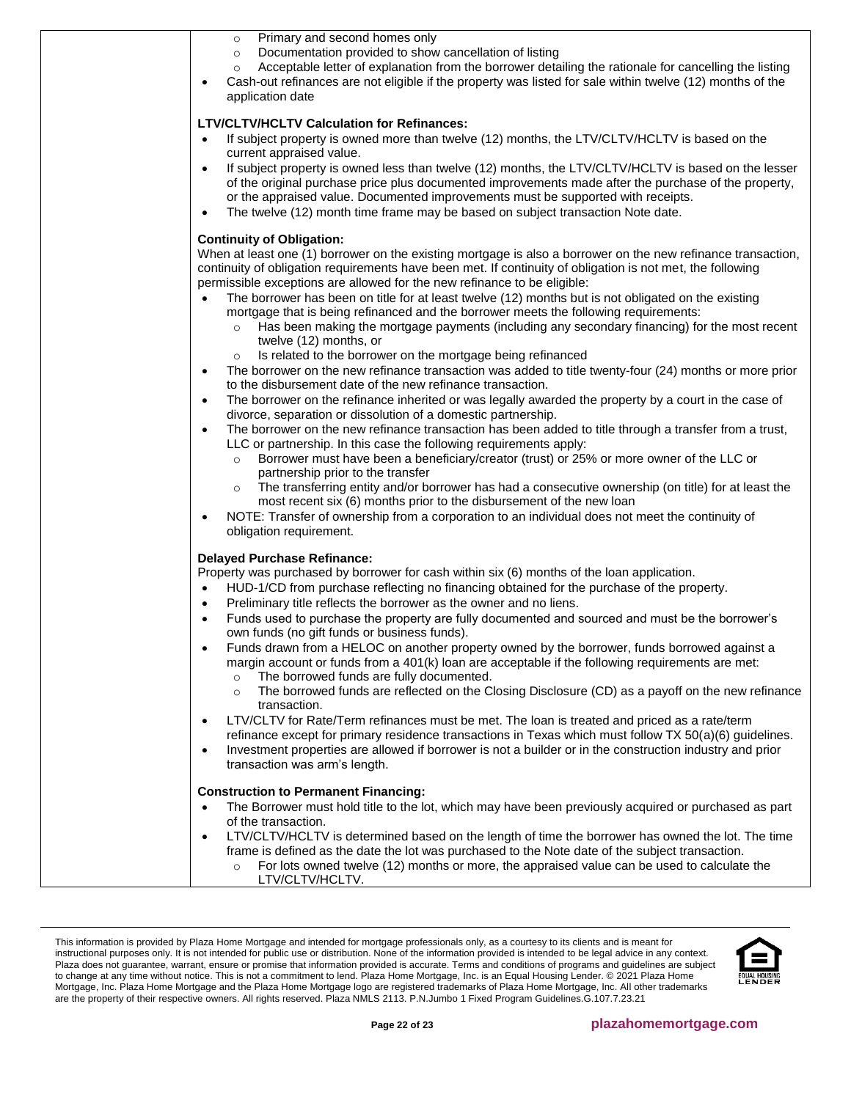| Primary and second homes only<br>$\circ$<br>Documentation provided to show cancellation of listing<br>$\circ$<br>Acceptable letter of explanation from the borrower detailing the rationale for cancelling the listing<br>$\circ$<br>Cash-out refinances are not eligible if the property was listed for sale within twelve (12) months of the<br>$\bullet$<br>application date                                                                                                                                                                                                                                                                                                                                                                                                                                                                                                                                                                                                                                                                                                                                                                                                                                                                                                                                                                                                                                                                                                                                                                                                                                                                                                                                                                                                                               |
|---------------------------------------------------------------------------------------------------------------------------------------------------------------------------------------------------------------------------------------------------------------------------------------------------------------------------------------------------------------------------------------------------------------------------------------------------------------------------------------------------------------------------------------------------------------------------------------------------------------------------------------------------------------------------------------------------------------------------------------------------------------------------------------------------------------------------------------------------------------------------------------------------------------------------------------------------------------------------------------------------------------------------------------------------------------------------------------------------------------------------------------------------------------------------------------------------------------------------------------------------------------------------------------------------------------------------------------------------------------------------------------------------------------------------------------------------------------------------------------------------------------------------------------------------------------------------------------------------------------------------------------------------------------------------------------------------------------------------------------------------------------------------------------------------------------|
| <b>LTV/CLTV/HCLTV Calculation for Refinances:</b><br>If subject property is owned more than twelve (12) months, the LTV/CLTV/HCLTV is based on the<br>$\bullet$<br>current appraised value.<br>If subject property is owned less than twelve (12) months, the LTV/CLTV/HCLTV is based on the lesser<br>$\bullet$<br>of the original purchase price plus documented improvements made after the purchase of the property,<br>or the appraised value. Documented improvements must be supported with receipts.<br>The twelve (12) month time frame may be based on subject transaction Note date.<br>$\bullet$                                                                                                                                                                                                                                                                                                                                                                                                                                                                                                                                                                                                                                                                                                                                                                                                                                                                                                                                                                                                                                                                                                                                                                                                  |
| <b>Continuity of Obligation:</b><br>When at least one (1) borrower on the existing mortgage is also a borrower on the new refinance transaction,<br>continuity of obligation requirements have been met. If continuity of obligation is not met, the following<br>permissible exceptions are allowed for the new refinance to be eligible:<br>The borrower has been on title for at least twelve (12) months but is not obligated on the existing<br>$\bullet$<br>mortgage that is being refinanced and the borrower meets the following requirements:<br>Has been making the mortgage payments (including any secondary financing) for the most recent<br>$\circ$<br>twelve (12) months, or<br>Is related to the borrower on the mortgage being refinanced<br>The borrower on the new refinance transaction was added to title twenty-four (24) months or more prior<br>$\bullet$<br>to the disbursement date of the new refinance transaction.<br>The borrower on the refinance inherited or was legally awarded the property by a court in the case of<br>$\bullet$<br>divorce, separation or dissolution of a domestic partnership.<br>The borrower on the new refinance transaction has been added to title through a transfer from a trust,<br>$\bullet$<br>LLC or partnership. In this case the following requirements apply:<br>Borrower must have been a beneficiary/creator (trust) or 25% or more owner of the LLC or<br>$\circ$<br>partnership prior to the transfer<br>The transferring entity and/or borrower has had a consecutive ownership (on title) for at least the<br>$\circ$<br>most recent six (6) months prior to the disbursement of the new loan<br>NOTE: Transfer of ownership from a corporation to an individual does not meet the continuity of<br>٠<br>obligation requirement. |
| <b>Delayed Purchase Refinance:</b><br>Property was purchased by borrower for cash within six (6) months of the loan application.<br>HUD-1/CD from purchase reflecting no financing obtained for the purchase of the property.<br>$\bullet$<br>Preliminary title reflects the borrower as the owner and no liens.<br>$\bullet$<br>Funds used to purchase the property are fully documented and sourced and must be the borrower's<br>$\bullet$<br>own funds (no gift funds or business funds).<br>Funds drawn from a HELOC on another property owned by the borrower, funds borrowed against a<br>margin account or funds from a 401(k) loan are acceptable if the following requirements are met:<br>The borrowed funds are fully documented.<br>$\circ$<br>The borrowed funds are reflected on the Closing Disclosure (CD) as a payoff on the new refinance<br>$\circ$<br>transaction.<br>LTV/CLTV for Rate/Term refinances must be met. The loan is treated and priced as a rate/term<br>$\bullet$<br>refinance except for primary residence transactions in Texas which must follow TX 50(a)(6) guidelines.<br>Investment properties are allowed if borrower is not a builder or in the construction industry and prior<br>$\bullet$<br>transaction was arm's length.                                                                                                                                                                                                                                                                                                                                                                                                                                                                                                                                      |
| <b>Construction to Permanent Financing:</b><br>The Borrower must hold title to the lot, which may have been previously acquired or purchased as part<br>$\bullet$<br>of the transaction.<br>LTV/CLTV/HCLTV is determined based on the length of time the borrower has owned the lot. The time<br>$\bullet$<br>frame is defined as the date the lot was purchased to the Note date of the subject transaction.<br>For lots owned twelve (12) months or more, the appraised value can be used to calculate the<br>$\circ$<br>LTV/CLTV/HCLTV.                                                                                                                                                                                                                                                                                                                                                                                                                                                                                                                                                                                                                                                                                                                                                                                                                                                                                                                                                                                                                                                                                                                                                                                                                                                                    |